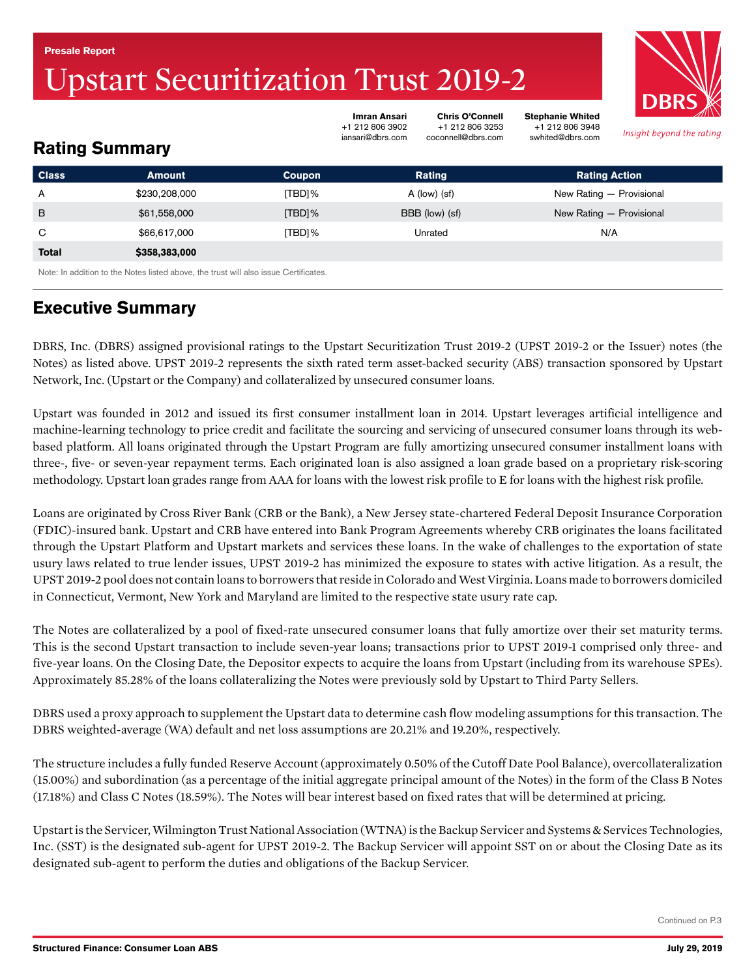#### <span id="page-0-0"></span>Presale Report

# pstart Securitization Trust 2019-2



Insight beyond the rating

Stephanie Whited +1 212 806 3948 swhited@dbrs.com

# Rating Summary

| <b>Class</b>                                                                         | <b>Amount</b> | Coupon    | Rating         | <b>Rating Action</b>     |  |  |  |  |  |
|--------------------------------------------------------------------------------------|---------------|-----------|----------------|--------------------------|--|--|--|--|--|
| A                                                                                    | \$230,208,000 | [TBD]%    | $A$ (low) (sf) | New Rating - Provisional |  |  |  |  |  |
| B                                                                                    | \$61,558,000  | $[TBD]\%$ | BBB (low) (sf) | New Rating - Provisional |  |  |  |  |  |
| C                                                                                    | \$66,617,000  | [TBD]%    | Unrated        | N/A                      |  |  |  |  |  |
| <b>Total</b>                                                                         | \$358,383,000 |           |                |                          |  |  |  |  |  |
| Note: In addition to the Notes listed above, the trust will also issue Certificates. |               |           |                |                          |  |  |  |  |  |

Imran Ansari +1 212 806 3902 iansari@dbrs.com

Chris O'Connell +1 212 806 3253 coconnell@dbrs.com

# Executive Summary

DBRS, Inc. (DBRS) assigned provisional ratings to the Upstart Securitization Trust 2019-2 (UPST 2019-2 or the Issuer) notes (the Notes) as listed above. UPST 2019-2 represents the sixth rated term asset-backed security (ABS) transaction sponsored by Upstart Network, Inc. (Upstart or the Company) and collateralized by unsecured consumer loans.

Upstart was founded in 2012 and issued its first consumer installment loan in 2014. Upstart leverages artificial intelligence and machine-learning technology to price credit and facilitate the sourcing and servicing of unsecured consumer loans through its webbased platform. All loans originated through the Upstart Program are fully amortizing unsecured consumer installment loans with three-, five- or seven-year repayment terms. Each originated loan is also assigned a loan grade based on a proprietary risk-scoring methodology. Upstart loan grades range from AAA for loans with the lowest risk profile to E for loans with the highest risk profile.

Loans are originated by Cross River Bank (CRB or the Bank), a New Jersey state-chartered Federal Deposit Insurance Corporation (FDIC)-insured bank. Upstart and CRB have entered into Bank Program Agreements whereby CRB originates the loans facilitated through the Upstart Platform and Upstart markets and services these loans. In the wake of challenges to the exportation of state usury laws related to true lender issues, UPST 2019-2 has minimized the exposure to states with active litigation. As a result, the UPST 2019-2 pool does not contain loans to borrowers that reside in Colorado and West Virginia. Loans made to borrowers domiciled in Connecticut, Vermont, New York and Maryland are limited to the respective state usury rate cap.

The Notes are collateralized by a pool of fixed-rate unsecured consumer loans that fully amortize over their set maturity terms. This is the second Upstart transaction to include seven-year loans; transactions prior to UPST 2019-1 comprised only three- and five-year loans. On the Closing Date, the Depositor expects to acquire the loans from Upstart (including from its warehouse SPEs). Approximately 85.28% of the loans collateralizing the Notes were previously sold by Upstart to Third Party Sellers.

DBRS used a proxy approach to supplement the Upstart data to determine cash flow modeling assumptions for this transaction. The DBRS weighted-average (WA) default and net loss assumptions are 20.21% and 19.20%, respectively.

The structure includes a fully funded Reserve Account (approximately 0.50% of the Cutoff Date Pool Balance), overcollateralization (15.00%) and subordination (as a percentage of the initial aggregate principal amount of the Notes) in the form of the Class B Notes (17.18%) and Class C Notes (18.59%). The Notes will bear interest based on fixed rates that will be determined at pricing.

Upstart is the Servicer, Wilmington Trust National Association (WTNA) is the Backup Servicer and Systems & Services Technologies, Inc. (SST) is the designated sub-agent for UPST 2019-2. The Backup Servicer will appoint SST on or about the Closing Date as its designated sub-agent to perform the duties and obligations of the Backup Servicer.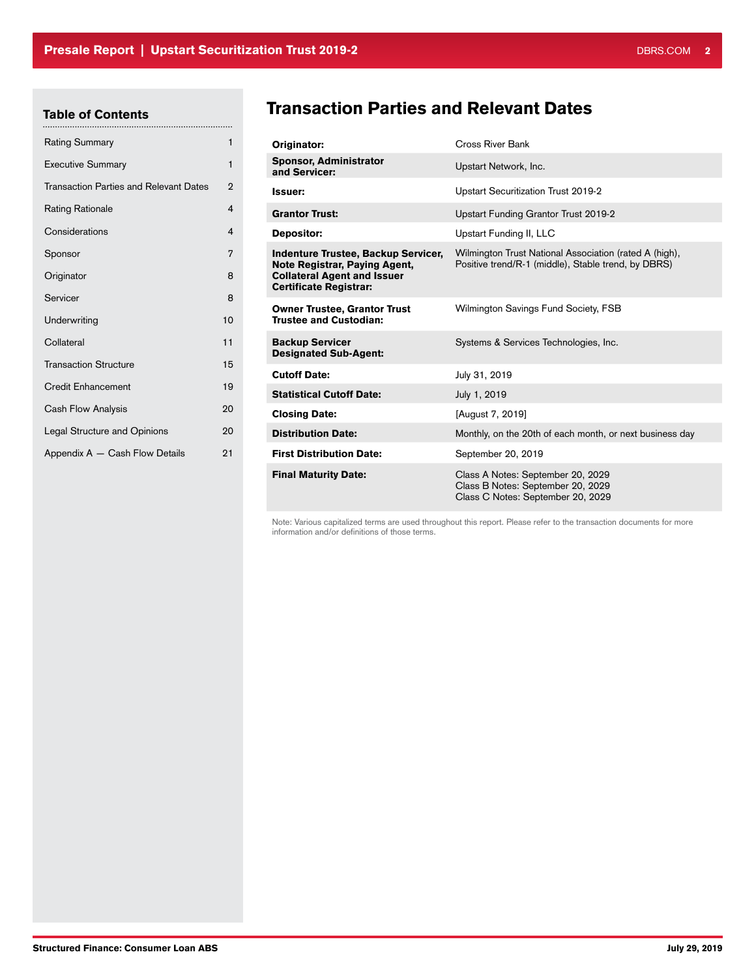# Table of Contents

| <b>Rating Summary</b>                         | 1                       |
|-----------------------------------------------|-------------------------|
| <b>Executive Summary</b>                      | 1                       |
| <b>Transaction Parties and Relevant Dates</b> | $\overline{2}$          |
| <b>Rating Rationale</b>                       | $\overline{\mathbf{A}}$ |
| Considerations                                | $\overline{4}$          |
| Sponsor                                       | 7                       |
| Originator                                    | 8                       |
| Servicer                                      | 8                       |
| Underwriting                                  | 10                      |
| Collateral                                    | 11                      |
| <b>Transaction Structure</b>                  | 15                      |
| <b>Credit Enhancement</b>                     | 19                      |
| Cash Flow Analysis                            | 20                      |
| <b>Legal Structure and Opinions</b>           | 20                      |
| Appendix A - Cash Flow Details                | 21                      |

# Transaction Parties and Relevant Dates

| Originator:                                                                                                                                 | Cross River Bank                                                                                              |
|---------------------------------------------------------------------------------------------------------------------------------------------|---------------------------------------------------------------------------------------------------------------|
| <b>Sponsor, Administrator</b><br>and Servicer:                                                                                              | Upstart Network, Inc.                                                                                         |
| <b>Issuer:</b>                                                                                                                              | Upstart Securitization Trust 2019-2                                                                           |
| <b>Grantor Trust:</b>                                                                                                                       | Upstart Funding Grantor Trust 2019-2                                                                          |
| Depositor:                                                                                                                                  | Upstart Funding II, LLC                                                                                       |
| Indenture Trustee, Backup Servicer,<br>Note Registrar, Paying Agent,<br><b>Collateral Agent and Issuer</b><br><b>Certificate Registrar:</b> | Wilmington Trust National Association (rated A (high),<br>Positive trend/R-1 (middle), Stable trend, by DBRS) |
| <b>Owner Trustee, Grantor Trust</b><br><b>Trustee and Custodian:</b>                                                                        | Wilmington Savings Fund Society, FSB                                                                          |
| <b>Backup Servicer</b><br><b>Designated Sub-Agent:</b>                                                                                      | Systems & Services Technologies, Inc.                                                                         |
| <b>Cutoff Date:</b>                                                                                                                         | July 31, 2019                                                                                                 |
| <b>Statistical Cutoff Date:</b>                                                                                                             | July 1, 2019                                                                                                  |
| <b>Closing Date:</b>                                                                                                                        | [August 7, 2019]                                                                                              |
| <b>Distribution Date:</b>                                                                                                                   | Monthly, on the 20th of each month, or next business day                                                      |
| <b>First Distribution Date:</b>                                                                                                             | September 20, 2019                                                                                            |
| <b>Final Maturity Date:</b>                                                                                                                 | Class A Notes: September 20, 2029<br>Class B Notes: September 20, 2029<br>Class C Notes: September 20, 2029   |

Note: Various capitalized terms are used throughout this report. Please refer to the transaction documents for more information and/or definitions of those terms.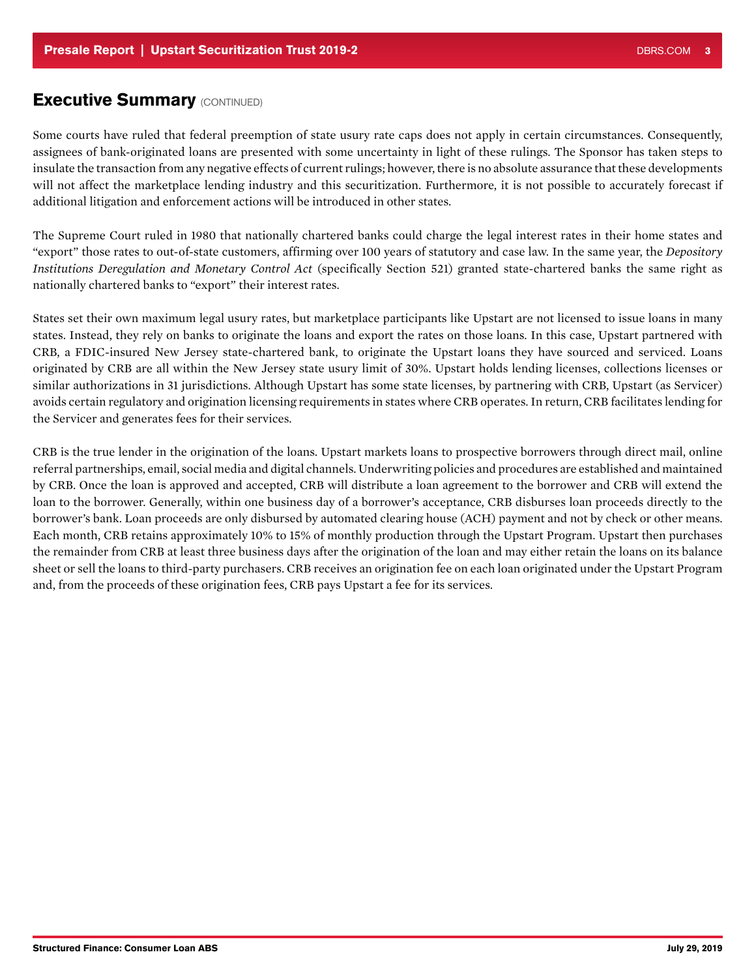### **Executive Summary (CONTINUED)**

Some courts have ruled that federal preemption of state usury rate caps does not apply in certain circumstances. Consequently, assignees of bank-originated loans are presented with some uncertainty in light of these rulings. The Sponsor has taken steps to insulate the transaction from any negative effects of current rulings; however, there is no absolute assurance that these developments will not affect the marketplace lending industry and this securitization. Furthermore, it is not possible to accurately forecast if additional litigation and enforcement actions will be introduced in other states.

The Supreme Court ruled in 1980 that nationally chartered banks could charge the legal interest rates in their home states and "export" those rates to out-of-state customers, affirming over 100 years of statutory and case law. In the same year, the *Depository Institutions Deregulation and Monetary Control Act* (specifically Section 521) granted state-chartered banks the same right as nationally chartered banks to "export" their interest rates.

States set their own maximum legal usury rates, but marketplace participants like Upstart are not licensed to issue loans in many states. Instead, they rely on banks to originate the loans and export the rates on those loans. In this case, Upstart partnered with CRB, a FDIC-insured New Jersey state-chartered bank, to originate the Upstart loans they have sourced and serviced. Loans originated by CRB are all within the New Jersey state usury limit of 30%. Upstart holds lending licenses, collections licenses or similar authorizations in 31 jurisdictions. Although Upstart has some state licenses, by partnering with CRB, Upstart (as Servicer) avoids certain regulatory and origination licensing requirements in states where CRB operates. In return, CRB facilitates lending for the Servicer and generates fees for their services.

CRB is the true lender in the origination of the loans. Upstart markets loans to prospective borrowers through direct mail, online referral partnerships, email, social media and digital channels. Underwriting policies and procedures are established and maintained by CRB. Once the loan is approved and accepted, CRB will distribute a loan agreement to the borrower and CRB will extend the loan to the borrower. Generally, within one business day of a borrower's acceptance, CRB disburses loan proceeds directly to the borrower's bank. Loan proceeds are only disbursed by automated clearing house (ACH) payment and not by check or other means. Each month, CRB retains approximately 10% to 15% of monthly production through the Upstart Program. Upstart then purchases the remainder from CRB at least three business days after the origination of the loan and may either retain the loans on its balance sheet or sell the loans to third-party purchasers. CRB receives an origination fee on each loan originated under the Upstart Program and, from the proceeds of these origination fees, CRB pays Upstart a fee for its services.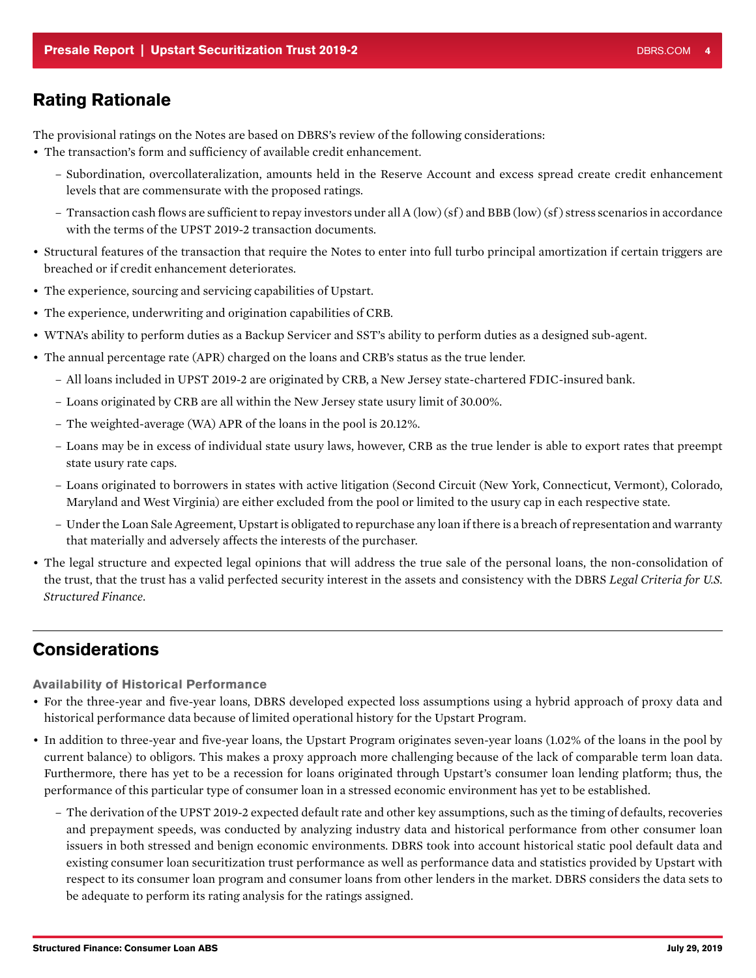### <span id="page-3-0"></span>Rating Rationale

The provisional ratings on the Notes are based on DBRS's review of the following considerations:

- The transaction's form and sufficiency of available credit enhancement.
	- Subordination, overcollateralization, amounts held in the Reserve Account and excess spread create credit enhancement levels that are commensurate with the proposed ratings.
	- Transaction cash flows are sufficient to repay investors under all A (low) (sf ) and BBB (low) (sf ) stress scenarios in accordance with the terms of the UPST 2019-2 transaction documents.
- Structural features of the transaction that require the Notes to enter into full turbo principal amortization if certain triggers are breached or if credit enhancement deteriorates.
- The experience, sourcing and servicing capabilities of Upstart.
- The experience, underwriting and origination capabilities of CRB.
- WTNA's ability to perform duties as a Backup Servicer and SST's ability to perform duties as a designed sub-agent.
- The annual percentage rate (APR) charged on the loans and CRB's status as the true lender.
	- All loans included in UPST 2019-2 are originated by CRB, a New Jersey state-chartered FDIC-insured bank.
	- Loans originated by CRB are all within the New Jersey state usury limit of 30.00%.
	- The weighted-average (WA) APR of the loans in the pool is 20.12%.
	- Loans may be in excess of individual state usury laws, however, CRB as the true lender is able to export rates that preempt state usury rate caps.
	- Loans originated to borrowers in states with active litigation (Second Circuit (New York, Connecticut, Vermont), Colorado, Maryland and West Virginia) are either excluded from the pool or limited to the usury cap in each respective state.
	- Under the Loan Sale Agreement, Upstart is obligated to repurchase any loan if there is a breach of representation and warranty that materially and adversely affects the interests of the purchaser.
- The legal structure and expected legal opinions that will address the true sale of the personal loans, the non-consolidation of the trust, that the trust has a valid perfected security interest in the assets and consistency with the DBRS *Legal Criteria for U.S. Structured Finance*.

# Considerations

Availability of Historical Performance

- For the three-year and five-year loans, DBRS developed expected loss assumptions using a hybrid approach of proxy data and historical performance data because of limited operational history for the Upstart Program.
- In addition to three-year and five-year loans, the Upstart Program originates seven-year loans (1.02% of the loans in the pool by current balance) to obligors. This makes a proxy approach more challenging because of the lack of comparable term loan data. Furthermore, there has yet to be a recession for loans originated through Upstart's consumer loan lending platform; thus, the performance of this particular type of consumer loan in a stressed economic environment has yet to be established.
	- The derivation of the UPST 2019-2 expected default rate and other key assumptions, such as the timing of defaults, recoveries and prepayment speeds, was conducted by analyzing industry data and historical performance from other consumer loan issuers in both stressed and benign economic environments. DBRS took into account historical static pool default data and existing consumer loan securitization trust performance as well as performance data and statistics provided by Upstart with respect to its consumer loan program and consumer loans from other lenders in the market. DBRS considers the data sets to be adequate to perform its rating analysis for the ratings assigned.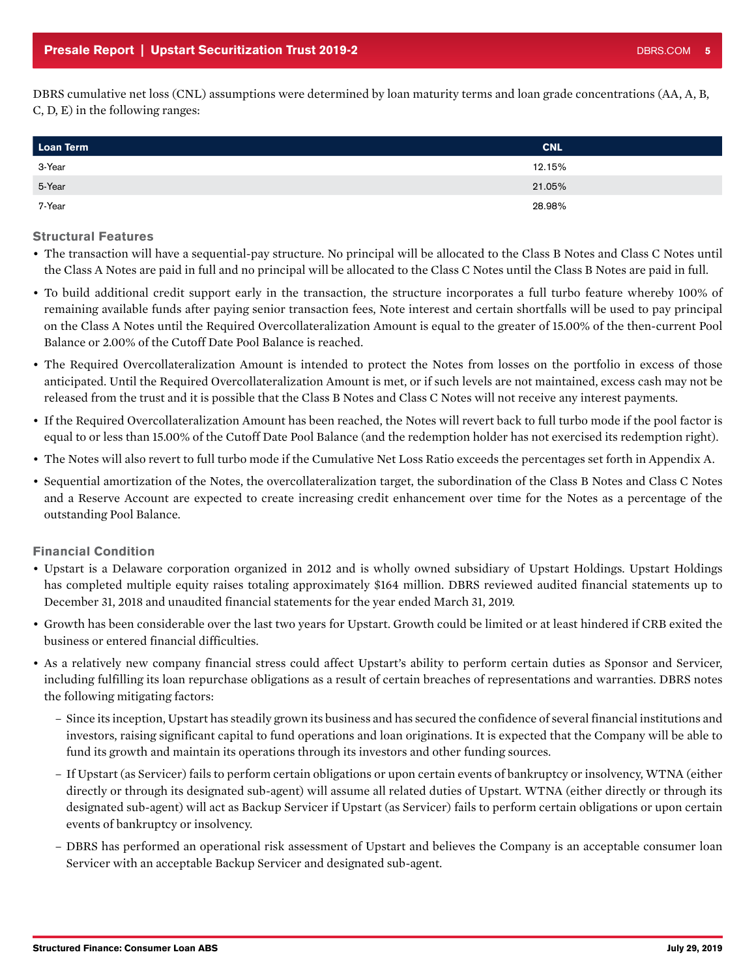DBRS cumulative net loss (CNL) assumptions were determined by loan maturity terms and loan grade concentrations (AA, A, B, C, D, E) in the following ranges:

| <b>Loan Term</b> | <b>CNL</b> |
|------------------|------------|
| 3-Year           | 12.15%     |
| 5-Year           | 21.05%     |
| 7-Year           | 28.98%     |

#### Structural Features

- The transaction will have a sequential-pay structure. No principal will be allocated to the Class B Notes and Class C Notes until the Class A Notes are paid in full and no principal will be allocated to the Class C Notes until the Class B Notes are paid in full.
- To build additional credit support early in the transaction, the structure incorporates a full turbo feature whereby 100% of remaining available funds after paying senior transaction fees, Note interest and certain shortfalls will be used to pay principal on the Class A Notes until the Required Overcollateralization Amount is equal to the greater of 15.00% of the then-current Pool Balance or 2.00% of the Cutoff Date Pool Balance is reached.
- The Required Overcollateralization Amount is intended to protect the Notes from losses on the portfolio in excess of those anticipated. Until the Required Overcollateralization Amount is met, or if such levels are not maintained, excess cash may not be released from the trust and it is possible that the Class B Notes and Class C Notes will not receive any interest payments.
- If the Required Overcollateralization Amount has been reached, the Notes will revert back to full turbo mode if the pool factor is equal to or less than 15.00% of the Cutoff Date Pool Balance (and the redemption holder has not exercised its redemption right).
- The Notes will also revert to full turbo mode if the Cumulative Net Loss Ratio exceeds the percentages set forth in Appendix A.
- Sequential amortization of the Notes, the overcollateralization target, the subordination of the Class B Notes and Class C Notes and a Reserve Account are expected to create increasing credit enhancement over time for the Notes as a percentage of the outstanding Pool Balance.

### Financial Condition

- Upstart is a Delaware corporation organized in 2012 and is wholly owned subsidiary of Upstart Holdings. Upstart Holdings has completed multiple equity raises totaling approximately \$164 million. DBRS reviewed audited financial statements up to December 31, 2018 and unaudited financial statements for the year ended March 31, 2019.
- Growth has been considerable over the last two years for Upstart. Growth could be limited or at least hindered if CRB exited the business or entered financial difficulties.
- As a relatively new company financial stress could affect Upstart's ability to perform certain duties as Sponsor and Servicer, including fulfilling its loan repurchase obligations as a result of certain breaches of representations and warranties. DBRS notes the following mitigating factors:
	- Since its inception, Upstart has steadily grown its business and has secured the confidence of several financial institutions and investors, raising significant capital to fund operations and loan originations. It is expected that the Company will be able to fund its growth and maintain its operations through its investors and other funding sources.
	- If Upstart (as Servicer) fails to perform certain obligations or upon certain events of bankruptcy or insolvency, WTNA (either directly or through its designated sub-agent) will assume all related duties of Upstart. WTNA (either directly or through its designated sub-agent) will act as Backup Servicer if Upstart (as Servicer) fails to perform certain obligations or upon certain events of bankruptcy or insolvency.
	- DBRS has performed an operational risk assessment of Upstart and believes the Company is an acceptable consumer loan Servicer with an acceptable Backup Servicer and designated sub-agent.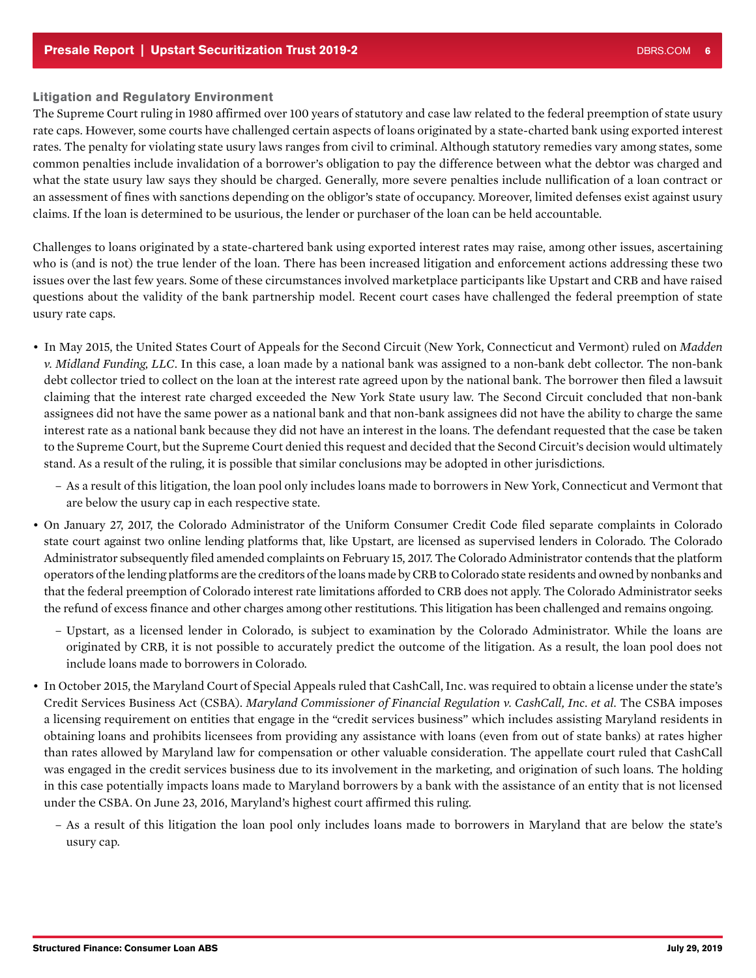### Litigation and Regulatory Environment

The Supreme Court ruling in 1980 affirmed over 100 years of statutory and case law related to the federal preemption of state usury rate caps. However, some courts have challenged certain aspects of loans originated by a state-charted bank using exported interest rates. The penalty for violating state usury laws ranges from civil to criminal. Although statutory remedies vary among states, some common penalties include invalidation of a borrower's obligation to pay the difference between what the debtor was charged and what the state usury law says they should be charged. Generally, more severe penalties include nullification of a loan contract or an assessment of fines with sanctions depending on the obligor's state of occupancy. Moreover, limited defenses exist against usury claims. If the loan is determined to be usurious, the lender or purchaser of the loan can be held accountable.

Challenges to loans originated by a state-chartered bank using exported interest rates may raise, among other issues, ascertaining who is (and is not) the true lender of the loan. There has been increased litigation and enforcement actions addressing these two issues over the last few years. Some of these circumstances involved marketplace participants like Upstart and CRB and have raised questions about the validity of the bank partnership model. Recent court cases have challenged the federal preemption of state usury rate caps.

- In May 2015, the United States Court of Appeals for the Second Circuit (New York, Connecticut and Vermont) ruled on *Madden v. Midland Funding, LLC*. In this case, a loan made by a national bank was assigned to a non-bank debt collector. The non-bank debt collector tried to collect on the loan at the interest rate agreed upon by the national bank. The borrower then filed a lawsuit claiming that the interest rate charged exceeded the New York State usury law. The Second Circuit concluded that non-bank assignees did not have the same power as a national bank and that non-bank assignees did not have the ability to charge the same interest rate as a national bank because they did not have an interest in the loans. The defendant requested that the case be taken to the Supreme Court, but the Supreme Court denied this request and decided that the Second Circuit's decision would ultimately stand. As a result of the ruling, it is possible that similar conclusions may be adopted in other jurisdictions.
	- As a result of this litigation, the loan pool only includes loans made to borrowers in New York, Connecticut and Vermont that are below the usury cap in each respective state.
- On January 27, 2017, the Colorado Administrator of the Uniform Consumer Credit Code filed separate complaints in Colorado state court against two online lending platforms that, like Upstart, are licensed as supervised lenders in Colorado. The Colorado Administrator subsequently filed amended complaints on February 15, 2017. The Colorado Administrator contends that the platform operators of the lending platforms are the creditors of the loans made by CRB to Colorado state residents and owned by nonbanks and that the federal preemption of Colorado interest rate limitations afforded to CRB does not apply. The Colorado Administrator seeks the refund of excess finance and other charges among other restitutions. This litigation has been challenged and remains ongoing.
	- Upstart, as a licensed lender in Colorado, is subject to examination by the Colorado Administrator. While the loans are originated by CRB, it is not possible to accurately predict the outcome of the litigation. As a result, the loan pool does not include loans made to borrowers in Colorado.
- In October 2015, the Maryland Court of Special Appeals ruled that CashCall, Inc. was required to obtain a license under the state's Credit Services Business Act (CSBA). *Maryland Commissioner of Financial Regulation v. CashCall, Inc. et al.* The CSBA imposes a licensing requirement on entities that engage in the "credit services business" which includes assisting Maryland residents in obtaining loans and prohibits licensees from providing any assistance with loans (even from out of state banks) at rates higher than rates allowed by Maryland law for compensation or other valuable consideration. The appellate court ruled that CashCall was engaged in the credit services business due to its involvement in the marketing, and origination of such loans. The holding in this case potentially impacts loans made to Maryland borrowers by a bank with the assistance of an entity that is not licensed under the CSBA. On June 23, 2016, Maryland's highest court affirmed this ruling.
	- As a result of this litigation the loan pool only includes loans made to borrowers in Maryland that are below the state's usury cap.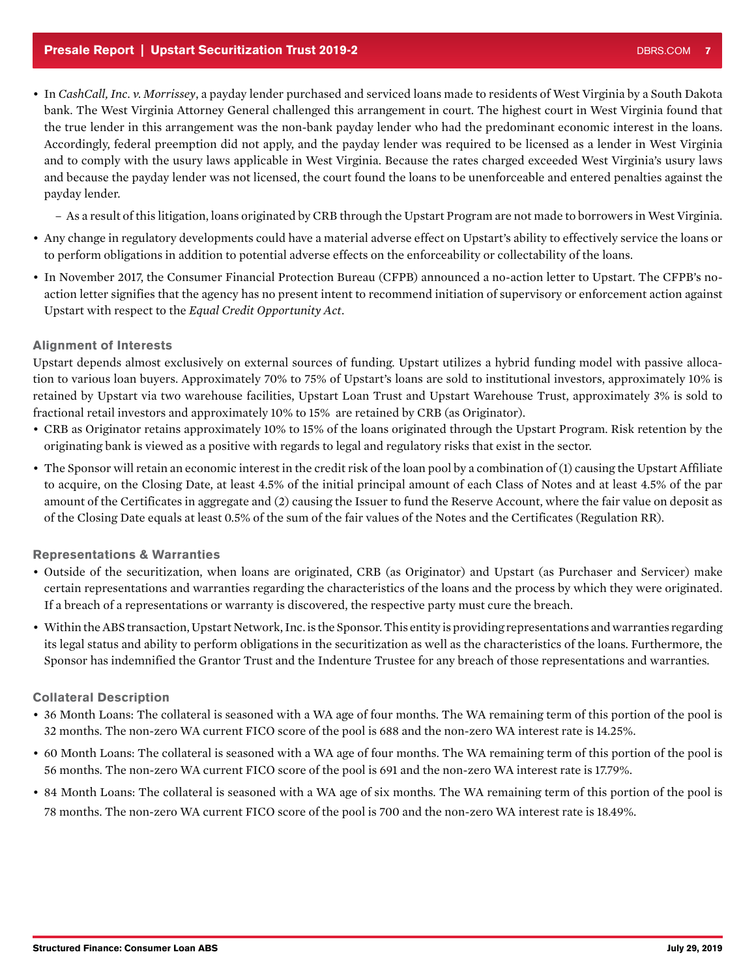- <span id="page-6-0"></span>• In *CashCall, Inc. v. Morrissey*, a payday lender purchased and serviced loans made to residents of West Virginia by a South Dakota bank. The West Virginia Attorney General challenged this arrangement in court. The highest court in West Virginia found that the true lender in this arrangement was the non-bank payday lender who had the predominant economic interest in the loans. Accordingly, federal preemption did not apply, and the payday lender was required to be licensed as a lender in West Virginia and to comply with the usury laws applicable in West Virginia. Because the rates charged exceeded West Virginia's usury laws and because the payday lender was not licensed, the court found the loans to be unenforceable and entered penalties against the payday lender.
	- As a result of this litigation, loans originated by CRB through the Upstart Program are not made to borrowers in West Virginia.
- Any change in regulatory developments could have a material adverse effect on Upstart's ability to effectively service the loans or to perform obligations in addition to potential adverse effects on the enforceability or collectability of the loans.
- In November 2017, the Consumer Financial Protection Bureau (CFPB) announced a no-action letter to Upstart. The CFPB's noaction letter signifies that the agency has no present intent to recommend initiation of supervisory or enforcement action against Upstart with respect to the *Equal Credit Opportunity Act*.

### Alignment of Interests

Upstart depends almost exclusively on external sources of funding. Upstart utilizes a hybrid funding model with passive allocation to various loan buyers. Approximately 70% to 75% of Upstart's loans are sold to institutional investors, approximately 10% is retained by Upstart via two warehouse facilities, Upstart Loan Trust and Upstart Warehouse Trust, approximately 3% is sold to fractional retail investors and approximately 10% to 15% are retained by CRB (as Originator).

- CRB as Originator retains approximately 10% to 15% of the loans originated through the Upstart Program. Risk retention by the originating bank is viewed as a positive with regards to legal and regulatory risks that exist in the sector.
- The Sponsor will retain an economic interest in the credit risk of the loan pool by a combination of (1) causing the Upstart Affiliate to acquire, on the Closing Date, at least 4.5% of the initial principal amount of each Class of Notes and at least 4.5% of the par amount of the Certificates in aggregate and (2) causing the Issuer to fund the Reserve Account, where the fair value on deposit as of the Closing Date equals at least 0.5% of the sum of the fair values of the Notes and the Certificates (Regulation RR).

### Representations & Warranties

- Outside of the securitization, when loans are originated, CRB (as Originator) and Upstart (as Purchaser and Servicer) make certain representations and warranties regarding the characteristics of the loans and the process by which they were originated. If a breach of a representations or warranty is discovered, the respective party must cure the breach.
- Within the ABS transaction, Upstart Network, Inc. is the Sponsor. This entity is providing representations and warranties regarding its legal status and ability to perform obligations in the securitization as well as the characteristics of the loans. Furthermore, the Sponsor has indemnified the Grantor Trust and the Indenture Trustee for any breach of those representations and warranties.

### Collateral Description

- 36 Month Loans: The collateral is seasoned with a WA age of four months. The WA remaining term of this portion of the pool is 32 months. The non-zero WA current FICO score of the pool is 688 and the non-zero WA interest rate is 14.25%.
- 60 Month Loans: The collateral is seasoned with a WA age of four months. The WA remaining term of this portion of the pool is 56 months. The non-zero WA current FICO score of the pool is 691 and the non-zero WA interest rate is 17.79%.
- 84 Month Loans: The collateral is seasoned with a WA age of six months. The WA remaining term of this portion of the pool is 78 months. The non-zero WA current FICO score of the pool is 700 and the non-zero WA interest rate is 18.49%.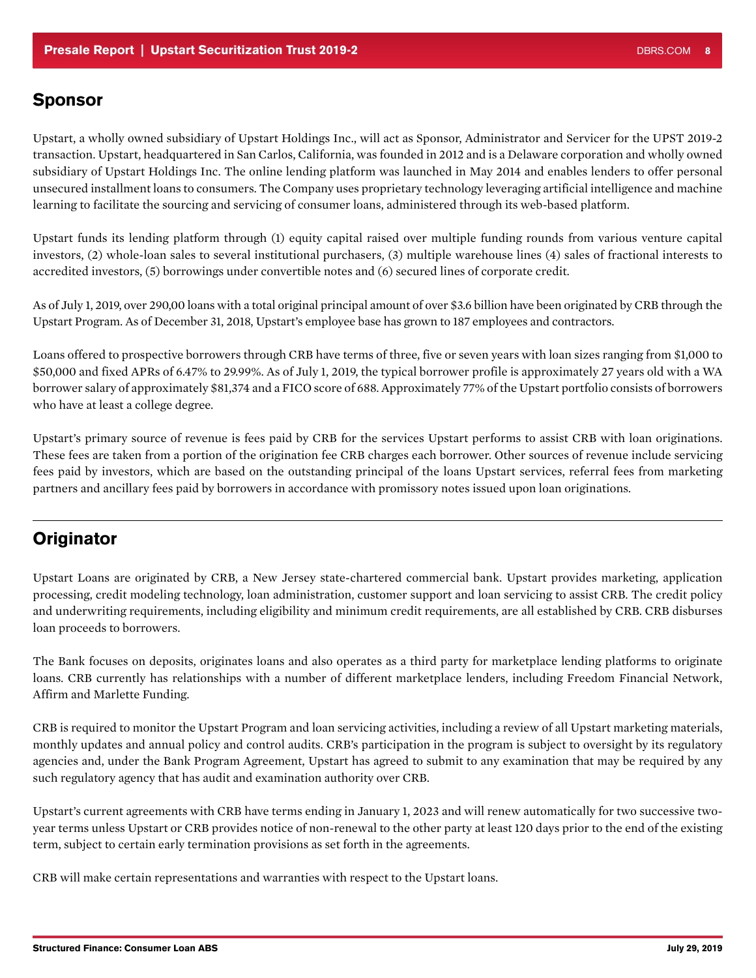### <span id="page-7-0"></span>Sponsor

Upstart, a wholly owned subsidiary of Upstart Holdings Inc., will act as Sponsor, Administrator and Servicer for the UPST 2019-2 transaction. Upstart, headquartered in San Carlos, California, was founded in 2012 and is a Delaware corporation and wholly owned subsidiary of Upstart Holdings Inc. The online lending platform was launched in May 2014 and enables lenders to offer personal unsecured installment loans to consumers. The Company uses proprietary technology leveraging artificial intelligence and machine learning to facilitate the sourcing and servicing of consumer loans, administered through its web-based platform.

Upstart funds its lending platform through (1) equity capital raised over multiple funding rounds from various venture capital investors, (2) whole-loan sales to several institutional purchasers, (3) multiple warehouse lines (4) sales of fractional interests to accredited investors, (5) borrowings under convertible notes and (6) secured lines of corporate credit.

As of July 1, 2019, over 290,00 loans with a total original principal amount of over \$3.6 billion have been originated by CRB through the Upstart Program. As of December 31, 2018, Upstart's employee base has grown to 187 employees and contractors.

Loans offered to prospective borrowers through CRB have terms of three, five or seven years with loan sizes ranging from \$1,000 to \$50,000 and fixed APRs of 6.47% to 29.99%. As of July 1, 2019, the typical borrower profile is approximately 27 years old with a WA borrower salary of approximately \$81,374 and a FICO score of 688. Approximately 77% of the Upstart portfolio consists of borrowers who have at least a college degree.

Upstart's primary source of revenue is fees paid by CRB for the services Upstart performs to assist CRB with loan originations. These fees are taken from a portion of the origination fee CRB charges each borrower. Other sources of revenue include servicing fees paid by investors, which are based on the outstanding principal of the loans Upstart services, referral fees from marketing partners and ancillary fees paid by borrowers in accordance with promissory notes issued upon loan originations.

# **Originator**

Upstart Loans are originated by CRB, a New Jersey state-chartered commercial bank. Upstart provides marketing, application processing, credit modeling technology, loan administration, customer support and loan servicing to assist CRB. The credit policy and underwriting requirements, including eligibility and minimum credit requirements, are all established by CRB. CRB disburses loan proceeds to borrowers.

The Bank focuses on deposits, originates loans and also operates as a third party for marketplace lending platforms to originate loans. CRB currently has relationships with a number of different marketplace lenders, including Freedom Financial Network, Affirm and Marlette Funding.

CRB is required to monitor the Upstart Program and loan servicing activities, including a review of all Upstart marketing materials, monthly updates and annual policy and control audits. CRB's participation in the program is subject to oversight by its regulatory agencies and, under the Bank Program Agreement, Upstart has agreed to submit to any examination that may be required by any such regulatory agency that has audit and examination authority over CRB.

Upstart's current agreements with CRB have terms ending in January 1, 2023 and will renew automatically for two successive twoyear terms unless Upstart or CRB provides notice of non-renewal to the other party at least 120 days prior to the end of the existing term, subject to certain early termination provisions as set forth in the agreements.

CRB will make certain representations and warranties with respect to the Upstart loans.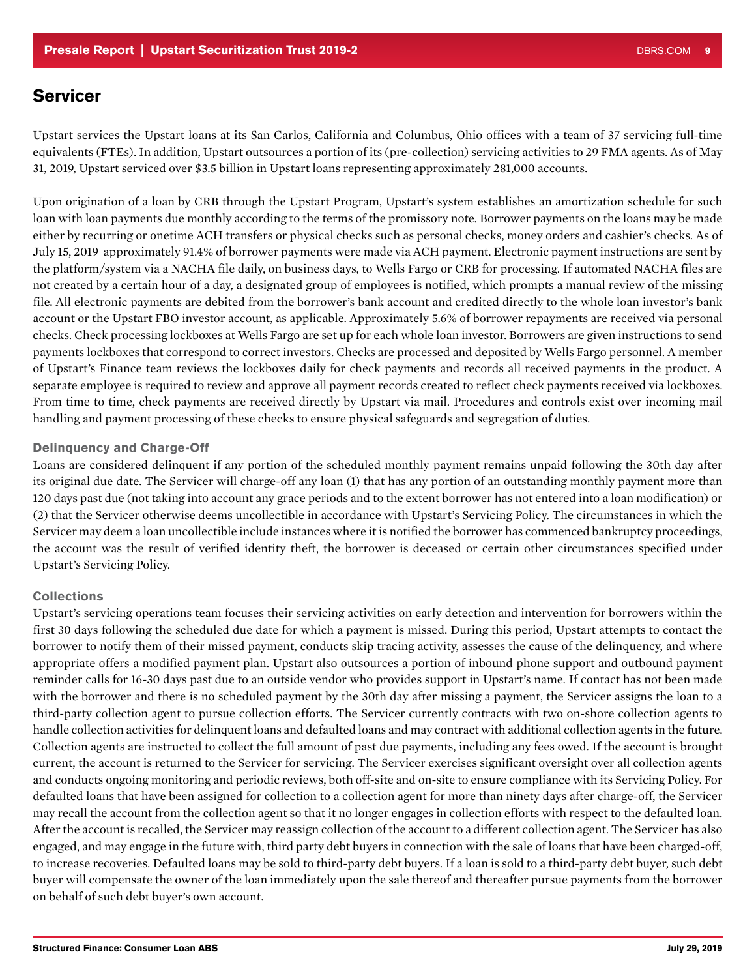### <span id="page-8-0"></span>**Servicer**

Upstart services the Upstart loans at its San Carlos, California and Columbus, Ohio offices with a team of 37 servicing full-time equivalents (FTEs). In addition, Upstart outsources a portion of its (pre-collection) servicing activities to 29 FMA agents. As of May 31, 2019, Upstart serviced over \$3.5 billion in Upstart loans representing approximately 281,000 accounts.

Upon origination of a loan by CRB through the Upstart Program, Upstart's system establishes an amortization schedule for such loan with loan payments due monthly according to the terms of the promissory note. Borrower payments on the loans may be made either by recurring or onetime ACH transfers or physical checks such as personal checks, money orders and cashier's checks. As of July 15, 2019 approximately 91.4% of borrower payments were made via ACH payment. Electronic payment instructions are sent by the platform/system via a NACHA file daily, on business days, to Wells Fargo or CRB for processing. If automated NACHA files are not created by a certain hour of a day, a designated group of employees is notified, which prompts a manual review of the missing file. All electronic payments are debited from the borrower's bank account and credited directly to the whole loan investor's bank account or the Upstart FBO investor account, as applicable. Approximately 5.6% of borrower repayments are received via personal checks. Check processing lockboxes at Wells Fargo are set up for each whole loan investor. Borrowers are given instructions to send payments lockboxes that correspond to correct investors. Checks are processed and deposited by Wells Fargo personnel. A member of Upstart's Finance team reviews the lockboxes daily for check payments and records all received payments in the product. A separate employee is required to review and approve all payment records created to reflect check payments received via lockboxes. From time to time, check payments are received directly by Upstart via mail. Procedures and controls exist over incoming mail handling and payment processing of these checks to ensure physical safeguards and segregation of duties.

#### Delinquency and Charge-Off

Loans are considered delinquent if any portion of the scheduled monthly payment remains unpaid following the 30th day after its original due date. The Servicer will charge-off any loan (1) that has any portion of an outstanding monthly payment more than 120 days past due (not taking into account any grace periods and to the extent borrower has not entered into a loan modification) or (2) that the Servicer otherwise deems uncollectible in accordance with Upstart's Servicing Policy. The circumstances in which the Servicer may deem a loan uncollectible include instances where it is notified the borrower has commenced bankruptcy proceedings, the account was the result of verified identity theft, the borrower is deceased or certain other circumstances specified under Upstart's Servicing Policy.

#### **Collections**

Upstart's servicing operations team focuses their servicing activities on early detection and intervention for borrowers within the first 30 days following the scheduled due date for which a payment is missed. During this period, Upstart attempts to contact the borrower to notify them of their missed payment, conducts skip tracing activity, assesses the cause of the delinquency, and where appropriate offers a modified payment plan. Upstart also outsources a portion of inbound phone support and outbound payment reminder calls for 16-30 days past due to an outside vendor who provides support in Upstart's name. If contact has not been made with the borrower and there is no scheduled payment by the 30th day after missing a payment, the Servicer assigns the loan to a third-party collection agent to pursue collection efforts. The Servicer currently contracts with two on-shore collection agents to handle collection activities for delinquent loans and defaulted loans and may contract with additional collection agents in the future. Collection agents are instructed to collect the full amount of past due payments, including any fees owed. If the account is brought current, the account is returned to the Servicer for servicing. The Servicer exercises significant oversight over all collection agents and conducts ongoing monitoring and periodic reviews, both off-site and on-site to ensure compliance with its Servicing Policy. For defaulted loans that have been assigned for collection to a collection agent for more than ninety days after charge-off, the Servicer may recall the account from the collection agent so that it no longer engages in collection efforts with respect to the defaulted loan. After the account is recalled, the Servicer may reassign collection of the account to a different collection agent. The Servicer has also engaged, and may engage in the future with, third party debt buyers in connection with the sale of loans that have been charged-off, to increase recoveries. Defaulted loans may be sold to third-party debt buyers. If a loan is sold to a third-party debt buyer, such debt buyer will compensate the owner of the loan immediately upon the sale thereof and thereafter pursue payments from the borrower on behalf of such debt buyer's own account.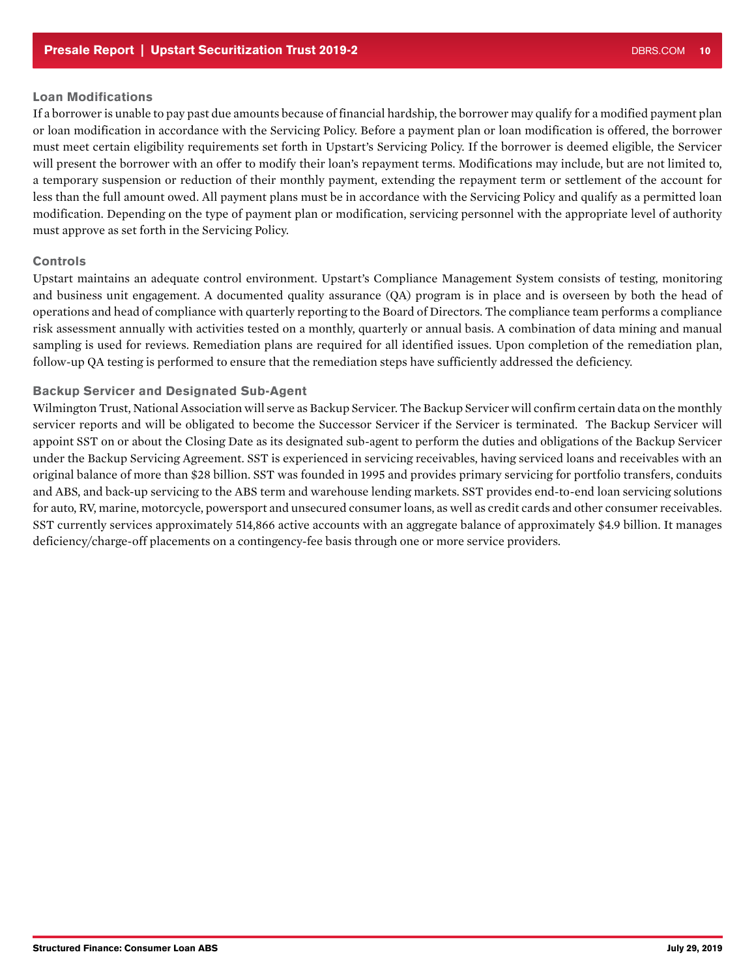### <span id="page-9-0"></span>Loan Modifications

If a borrower is unable to pay past due amounts because of financial hardship, the borrower may qualify for a modified payment plan or loan modification in accordance with the Servicing Policy. Before a payment plan or loan modification is offered, the borrower must meet certain eligibility requirements set forth in Upstart's Servicing Policy. If the borrower is deemed eligible, the Servicer will present the borrower with an offer to modify their loan's repayment terms. Modifications may include, but are not limited to, a temporary suspension or reduction of their monthly payment, extending the repayment term or settlement of the account for less than the full amount owed. All payment plans must be in accordance with the Servicing Policy and qualify as a permitted loan modification. Depending on the type of payment plan or modification, servicing personnel with the appropriate level of authority must approve as set forth in the Servicing Policy.

### Controls

Upstart maintains an adequate control environment. Upstart's Compliance Management System consists of testing, monitoring and business unit engagement. A documented quality assurance (QA) program is in place and is overseen by both the head of operations and head of compliance with quarterly reporting to the Board of Directors. The compliance team performs a compliance risk assessment annually with activities tested on a monthly, quarterly or annual basis. A combination of data mining and manual sampling is used for reviews. Remediation plans are required for all identified issues. Upon completion of the remediation plan, follow-up QA testing is performed to ensure that the remediation steps have sufficiently addressed the deficiency.

### Backup Servicer and Designated Sub-Agent

Wilmington Trust, National Association will serve as Backup Servicer. The Backup Servicer will confirm certain data on the monthly servicer reports and will be obligated to become the Successor Servicer if the Servicer is terminated. The Backup Servicer will appoint SST on or about the Closing Date as its designated sub-agent to perform the duties and obligations of the Backup Servicer under the Backup Servicing Agreement. SST is experienced in servicing receivables, having serviced loans and receivables with an original balance of more than \$28 billion. SST was founded in 1995 and provides primary servicing for portfolio transfers, conduits and ABS, and back-up servicing to the ABS term and warehouse lending markets. SST provides end-to-end loan servicing solutions for auto, RV, marine, motorcycle, powersport and unsecured consumer loans, as well as credit cards and other consumer receivables. SST currently services approximately 514,866 active accounts with an aggregate balance of approximately \$4.9 billion. It manages deficiency/charge-off placements on a contingency-fee basis through one or more service providers.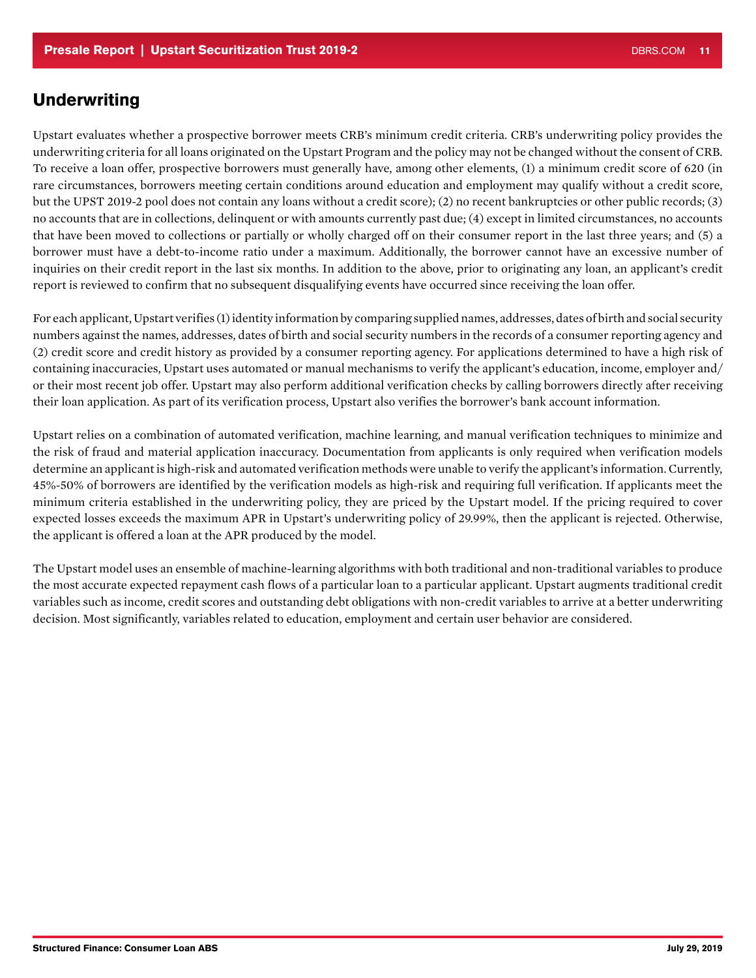### **Underwriting**

Upstart evaluates whether a prospective borrower meets CRB's minimum credit criteria. CRB's underwriting policy provides the underwriting criteria for all loans originated on the Upstart Program and the policy may not be changed without the consent of CRB. To receive a loan offer, prospective borrowers must generally have, among other elements, (1) a minimum credit score of 620 (in rare circumstances, borrowers meeting certain conditions around education and employment may qualify without a credit score, but the UPST 2019-2 pool does not contain any loans without a credit score); (2) no recent bankruptcies or other public records; (3) no accounts that are in collections, delinquent or with amounts currently past due; (4) except in limited circumstances, no accounts that have been moved to collections or partially or wholly charged off on their consumer report in the last three years; and (5) a borrower must have a debt-to-income ratio under a maximum. Additionally, the borrower cannot have an excessive number of inquiries on their credit report in the last six months. In addition to the above, prior to originating any loan, an applicant's credit report is reviewed to confirm that no subsequent disqualifying events have occurred since receiving the loan offer.

For each applicant, Upstart verifies (1) identity information by comparing supplied names, addresses, dates of birth and social security numbers against the names, addresses, dates of birth and social security numbers in the records of a consumer reporting agency and (2) credit score and credit history as provided by a consumer reporting agency. For applications determined to have a high risk of containing inaccuracies, Upstart uses automated or manual mechanisms to verify the applicant's education, income, employer and/ or their most recent job offer. Upstart may also perform additional verification checks by calling borrowers directly after receiving their loan application. As part of its verification process, Upstart also verifies the borrower's bank account information.

Upstart relies on a combination of automated verification, machine learning, and manual verification techniques to minimize and the risk of fraud and material application inaccuracy. Documentation from applicants is only required when verification models determine an applicant is high-risk and automated verification methods were unable to verify the applicant's information. Currently, 45%-50% of borrowers are identified by the verification models as high-risk and requiring full verification. If applicants meet the minimum criteria established in the underwriting policy, they are priced by the Upstart model. If the pricing required to cover expected losses exceeds the maximum APR in Upstart's underwriting policy of 29.99%, then the applicant is rejected. Otherwise, the applicant is offered a loan at the APR produced by the model.

The Upstart model uses an ensemble of machine-learning algorithms with both traditional and non-traditional variables to produce the most accurate expected repayment cash flows of a particular loan to a particular applicant. Upstart augments traditional credit variables such as income, credit scores and outstanding debt obligations with non-credit variables to arrive at a better underwriting decision. Most significantly, variables related to education, employment and certain user behavior are considered.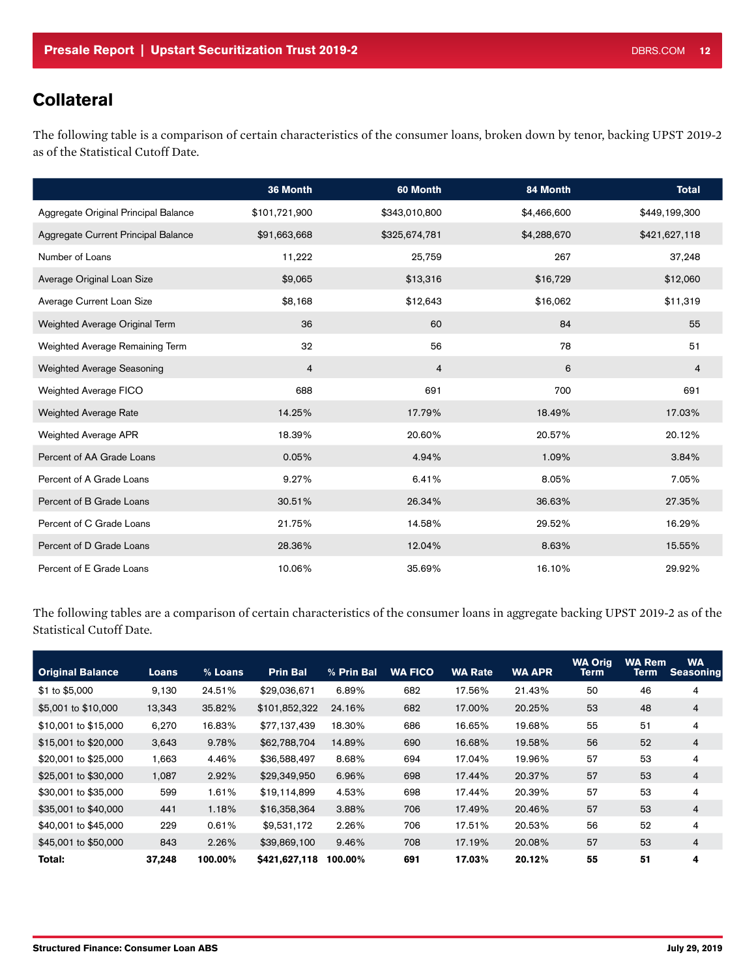# **Collateral**

The following table is a comparison of certain characteristics of the consumer loans, broken down by tenor, backing UPST 2019-2 as of the Statistical Cutoff Date.

|                                      | 36 Month       | 60 Month       | 84 Month    | <b>Total</b>   |
|--------------------------------------|----------------|----------------|-------------|----------------|
| Aggregate Original Principal Balance | \$101,721,900  | \$343,010,800  | \$4,466,600 | \$449,199,300  |
| Aggregate Current Principal Balance  | \$91,663,668   | \$325,674,781  | \$4,288,670 | \$421,627,118  |
| Number of Loans                      | 11,222         | 25,759         | 267         | 37,248         |
| Average Original Loan Size           | \$9,065        | \$13,316       | \$16,729    | \$12,060       |
| Average Current Loan Size            | \$8,168        | \$12,643       | \$16,062    | \$11,319       |
| Weighted Average Original Term       | 36             | 60             | 84          | 55             |
| Weighted Average Remaining Term      | 32             | 56             | 78          | 51             |
| <b>Weighted Average Seasoning</b>    | $\overline{4}$ | $\overline{4}$ | 6           | $\overline{4}$ |
| Weighted Average FICO                | 688            | 691            | 700         | 691            |
| <b>Weighted Average Rate</b>         | 14.25%         | 17.79%         | 18.49%      | 17.03%         |
| <b>Weighted Average APR</b>          | 18.39%         | 20.60%         | 20.57%      | 20.12%         |
| Percent of AA Grade Loans            | 0.05%          | 4.94%          | 1.09%       | 3.84%          |
| Percent of A Grade Loans             | 9.27%          | 6.41%          | 8.05%       | 7.05%          |
| Percent of B Grade Loans             | 30.51%         | 26.34%         | 36.63%      | 27.35%         |
| Percent of C Grade Loans             | 21.75%         | 14.58%         | 29.52%      | 16.29%         |
| Percent of D Grade Loans             | 28.36%         | 12.04%         | 8.63%       | 15.55%         |
| Percent of E Grade Loans             | 10.06%         | 35.69%         | 16.10%      | 29.92%         |

The following tables are a comparison of certain characteristics of the consumer loans in aggregate backing UPST 2019-2 as of the Statistical Cutoff Date.

| <b>Original Balance</b> | Loans  | % Loans | <b>Prin Bal</b> | % Prin Bal | <b>WA FICO</b> | <b>WA Rate</b> | <b>WA APR</b> | <b>WA Orig</b><br>Term | <b>WA Rem</b><br>Term | <b>WA</b><br><b>Seasoning</b> |
|-------------------------|--------|---------|-----------------|------------|----------------|----------------|---------------|------------------------|-----------------------|-------------------------------|
| \$1 to \$5,000          | 9.130  | 24.51%  | \$29,036,671    | 6.89%      | 682            | 17.56%         | 21.43%        | 50                     | 46                    | 4                             |
| \$5,001 to \$10,000     | 13,343 | 35.82%  | \$101,852,322   | 24.16%     | 682            | 17.00%         | 20.25%        | 53                     | 48                    | $\overline{4}$                |
| \$10,001 to \$15,000    | 6.270  | 16.83%  | \$77.137.439    | 18.30%     | 686            | 16.65%         | 19.68%        | 55                     | 51                    | 4                             |
| \$15,001 to \$20,000    | 3.643  | 9.78%   | \$62,788,704    | 14.89%     | 690            | 16.68%         | 19.58%        | 56                     | 52                    | $\overline{4}$                |
| \$20,001 to \$25,000    | 1,663  | 4.46%   | \$36,588,497    | 8.68%      | 694            | 17.04%         | 19.96%        | 57                     | 53                    | 4                             |
| \$25,001 to \$30,000    | 1,087  | 2.92%   | \$29,349,950    | 6.96%      | 698            | 17.44%         | 20.37%        | 57                     | 53                    | 4                             |
| \$30,001 to \$35,000    | 599    | 1.61%   | \$19,114,899    | 4.53%      | 698            | 17.44%         | 20.39%        | 57                     | 53                    | 4                             |
| \$35,001 to \$40,000    | 441    | 1.18%   | \$16,358,364    | 3.88%      | 706            | 17.49%         | 20.46%        | 57                     | 53                    | $\overline{4}$                |
| \$40,001 to \$45,000    | 229    | 0.61%   | \$9,531,172     | 2.26%      | 706            | 17.51%         | 20.53%        | 56                     | 52                    | 4                             |
| \$45,001 to \$50,000    | 843    | 2.26%   | \$39,869,100    | 9.46%      | 708            | 17.19%         | 20.08%        | 57                     | 53                    | $\overline{4}$                |
| Total:                  | 37.248 | 100.00% | \$421,627,118   | 100.00%    | 691            | 17.03%         | 20.12%        | 55                     | 51                    | 4                             |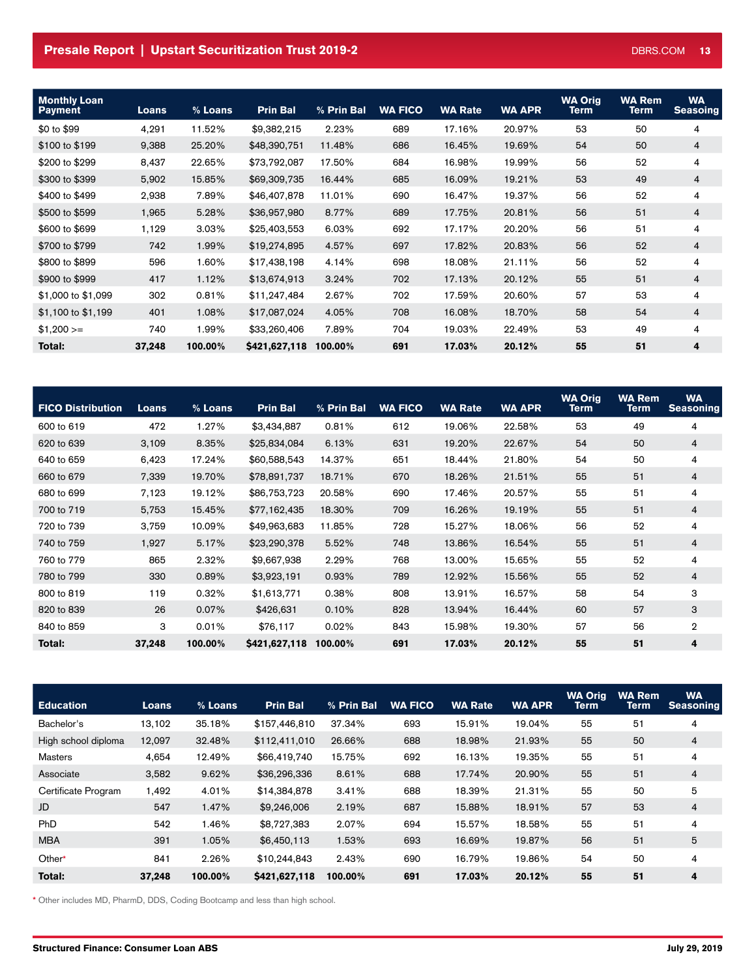### **Presale Report | Upstart Securitization Trust 2019-2** DBRS.COM 13

| <b>Monthly Loan</b><br><b>Payment</b> | <b>Loans</b> | % Loans | <b>Prin Bal</b> | % Prin Bal | <b>WA FICO</b> | <b>WA Rate</b> | <b>WA APR</b> | <b>WA Orig</b><br>Term | <b>WA Rem</b><br>Term | <b>WA</b><br><b>Seasoing</b> |
|---------------------------------------|--------------|---------|-----------------|------------|----------------|----------------|---------------|------------------------|-----------------------|------------------------------|
| \$0 to \$99                           | 4,291        | 11.52%  | \$9,382,215     | 2.23%      | 689            | 17.16%         | 20.97%        | 53                     | 50                    | 4                            |
| \$100 to \$199                        | 9,388        | 25.20%  | \$48,390,751    | 11.48%     | 686            | 16.45%         | 19.69%        | 54                     | 50                    | $\overline{4}$               |
| \$200 to \$299                        | 8,437        | 22.65%  | \$73,792,087    | 17.50%     | 684            | 16.98%         | 19.99%        | 56                     | 52                    | 4                            |
| \$300 to \$399                        | 5,902        | 15.85%  | \$69,309,735    | 16.44%     | 685            | 16.09%         | 19.21%        | 53                     | 49                    | $\overline{4}$               |
| \$400 to \$499                        | 2,938        | 7.89%   | \$46,407,878    | 11.01%     | 690            | 16.47%         | 19.37%        | 56                     | 52                    | 4                            |
| \$500 to \$599                        | 1,965        | 5.28%   | \$36,957,980    | 8.77%      | 689            | 17.75%         | 20.81%        | 56                     | 51                    | $\overline{4}$               |
| \$600 to \$699                        | 1,129        | 3.03%   | \$25,403,553    | 6.03%      | 692            | 17.17%         | 20.20%        | 56                     | 51                    | 4                            |
| \$700 to \$799                        | 742          | 1.99%   | \$19,274,895    | 4.57%      | 697            | 17.82%         | 20.83%        | 56                     | 52                    | $\overline{4}$               |
| \$800 to \$899                        | 596          | 1.60%   | \$17,438,198    | 4.14%      | 698            | 18.08%         | 21.11%        | 56                     | 52                    | 4                            |
| \$900 to \$999                        | 417          | 1.12%   | \$13,674,913    | 3.24%      | 702            | 17.13%         | 20.12%        | 55                     | 51                    | $\overline{4}$               |
| \$1,000 to \$1,099                    | 302          | 0.81%   | \$11,247,484    | 2.67%      | 702            | 17.59%         | 20.60%        | 57                     | 53                    | 4                            |
| \$1,100 to \$1,199                    | 401          | 1.08%   | \$17,087,024    | 4.05%      | 708            | 16.08%         | 18.70%        | 58                     | 54                    | $\overline{4}$               |
| $$1,200>=$                            | 740          | 1.99%   | \$33,260,406    | 7.89%      | 704            | 19.03%         | 22.49%        | 53                     | 49                    | 4                            |
| Total:                                | 37,248       | 100.00% | \$421,627,118   | 100.00%    | 691            | 17.03%         | 20.12%        | 55                     | 51                    | 4                            |

| <b>FICO Distribution</b> | <b>Loans</b> | % Loans | <b>Prin Bal</b> | % Prin Bal | <b>WA FICO</b> | <b>WA Rate</b> | <b>WA APR</b> | <b>WA Orig</b><br><b>Term</b> | <b>WA Rem</b><br>Term | <b>WA</b><br><b>Seasoning</b> |
|--------------------------|--------------|---------|-----------------|------------|----------------|----------------|---------------|-------------------------------|-----------------------|-------------------------------|
| 600 to 619               | 472          | 1.27%   | \$3,434,887     | 0.81%      | 612            | 19.06%         | 22.58%        | 53                            | 49                    | 4                             |
| 620 to 639               | 3,109        | 8.35%   | \$25,834,084    | 6.13%      | 631            | 19.20%         | 22.67%        | 54                            | 50                    | $\overline{4}$                |
| 640 to 659               | 6,423        | 17.24%  | \$60,588,543    | 14.37%     | 651            | 18.44%         | 21.80%        | 54                            | 50                    | 4                             |
| 660 to 679               | 7,339        | 19.70%  | \$78,891,737    | 18.71%     | 670            | 18.26%         | 21.51%        | 55                            | 51                    | 4                             |
| 680 to 699               | 7,123        | 19.12%  | \$86,753,723    | 20.58%     | 690            | 17.46%         | 20.57%        | 55                            | 51                    | 4                             |
| 700 to 719               | 5,753        | 15.45%  | \$77,162,435    | 18.30%     | 709            | 16.26%         | 19.19%        | 55                            | 51                    | 4                             |
| 720 to 739               | 3,759        | 10.09%  | \$49,963,683    | 11.85%     | 728            | 15.27%         | 18.06%        | 56                            | 52                    | 4                             |
| 740 to 759               | 1,927        | 5.17%   | \$23,290,378    | 5.52%      | 748            | 13.86%         | 16.54%        | 55                            | 51                    | $\overline{4}$                |
| 760 to 779               | 865          | 2.32%   | \$9,667,938     | 2.29%      | 768            | 13.00%         | 15.65%        | 55                            | 52                    | 4                             |
| 780 to 799               | 330          | 0.89%   | \$3,923,191     | 0.93%      | 789            | 12.92%         | 15.56%        | 55                            | 52                    | 4                             |
| 800 to 819               | 119          | 0.32%   | \$1,613,771     | 0.38%      | 808            | 13.91%         | 16.57%        | 58                            | 54                    | 3                             |
| 820 to 839               | 26           | 0.07%   | \$426,631       | 0.10%      | 828            | 13.94%         | 16.44%        | 60                            | 57                    | 3                             |
| 840 to 859               | З            | 0.01%   | \$76,117        | 0.02%      | 843            | 15.98%         | 19.30%        | 57                            | 56                    | $\overline{2}$                |
| Total:                   | 37,248       | 100.00% | \$421,627,118   | 100.00%    | 691            | 17.03%         | 20.12%        | 55                            | 51                    | 4                             |

| <b>Education</b>    | Loans  | % Loans | <b>Prin Bal</b> | % Prin Bal | <b>WA FICO</b> | <b>WA Rate</b> | <b>WA APR</b> | <b>WA Orig</b><br><b>Term</b> | <b>WA Rem</b><br>Term | <b>WA</b><br><b>Seasoning</b> |
|---------------------|--------|---------|-----------------|------------|----------------|----------------|---------------|-------------------------------|-----------------------|-------------------------------|
| Bachelor's          | 13.102 | 35.18%  | \$157,446,810   | 37.34%     | 693            | 15.91%         | 19.04%        | 55                            | 51                    | 4                             |
| High school diploma | 12,097 | 32.48%  | \$112,411,010   | 26.66%     | 688            | 18.98%         | 21.93%        | 55                            | 50                    | 4                             |
| Masters             | 4,654  | 12.49%  | \$66,419,740    | 15.75%     | 692            | 16.13%         | 19.35%        | 55                            | 51                    | 4                             |
| Associate           | 3,582  | 9.62%   | \$36,296,336    | 8.61%      | 688            | 17.74%         | 20.90%        | 55                            | 51                    | $\overline{4}$                |
| Certificate Program | 1.492  | 4.01%   | \$14,384,878    | 3.41%      | 688            | 18.39%         | 21.31%        | 55                            | 50                    | 5                             |
| JD                  | 547    | 1.47%   | \$9,246,006     | 2.19%      | 687            | 15.88%         | 18.91%        | 57                            | 53                    | $\overline{4}$                |
| <b>PhD</b>          | 542    | 1.46%   | \$8,727,383     | 2.07%      | 694            | 15.57%         | 18.58%        | 55                            | 51                    | 4                             |
| <b>MBA</b>          | 391    | 1.05%   | \$6,450,113     | 1.53%      | 693            | 16.69%         | 19.87%        | 56                            | 51                    | 5                             |
| Other*              | 841    | 2.26%   | \$10,244,843    | 2.43%      | 690            | 16.79%         | 19.86%        | 54                            | 50                    | 4                             |
| Total:              | 37,248 | 100.00% | \$421,627,118   | 100.00%    | 691            | 17.03%         | 20.12%        | 55                            | 51                    | 4                             |

\* Other includes MD, PharmD, DDS, Coding Bootcamp and less than high school.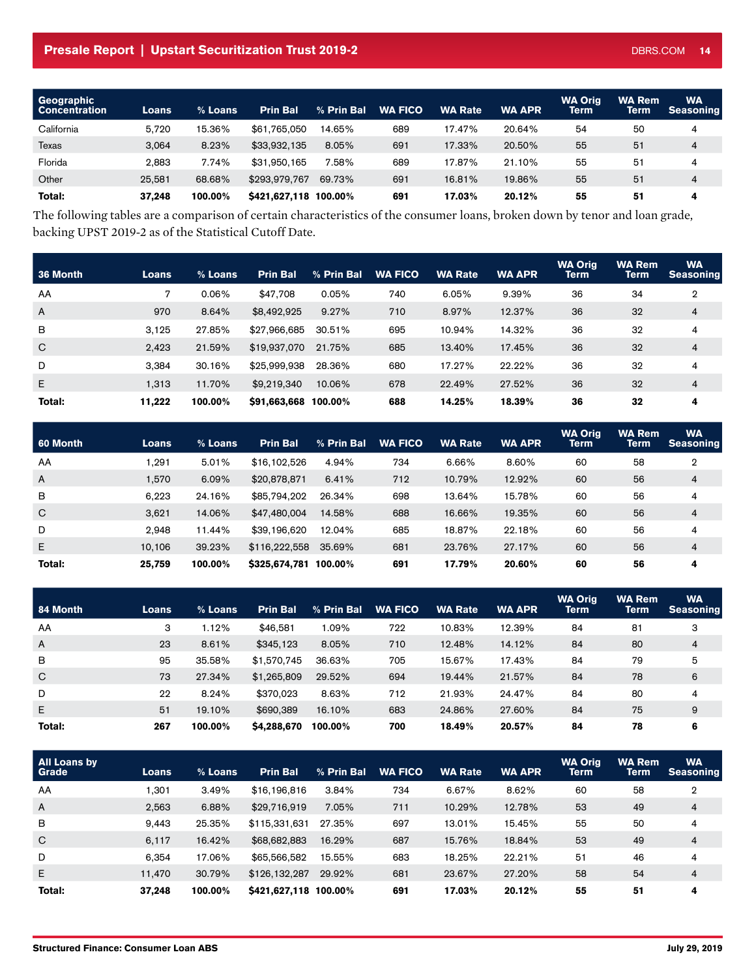<span id="page-13-0"></span>

| Geographic<br><b>Concentration</b> | Loans  | $%$ Loans | <b>Prin Bal</b>       | % Prin Bal | <b>WA FICO</b> | <b>WA Rate</b> | <b>WA APR</b> | <b>WA Orig</b><br><b>Term</b> | <b>WA Rem</b><br>Term | WA<br><b>Seasoning</b> |
|------------------------------------|--------|-----------|-----------------------|------------|----------------|----------------|---------------|-------------------------------|-----------------------|------------------------|
| California                         | 5.720  | 15.36%    | \$61,765,050          | 14.65%     | 689            | 17.47%         | 20.64%        | 54                            | 50                    | 4                      |
| Texas                              | 3.064  | 8.23%     | \$33,932,135          | 8.05%      | 691            | 17.33%         | 20.50%        | 55                            | 51                    | 4                      |
| Florida                            | 2.883  | 7.74%     | \$31,950,165          | 7.58%      | 689            | 17.87%         | 21.10%        | 55                            | 51                    | 4                      |
| Other                              | 25.581 | 68.68%    | \$293,979.767         | 69.73%     | 691            | 16.81%         | 19.86%        | 55                            | 51                    | 4                      |
| Total:                             | 37.248 | 100.00%   | \$421,627,118 100.00% |            | 691            | 17.03%         | 20.12%        | 55                            | 51                    | 4                      |

The following tables are a comparison of certain characteristics of the consumer loans, broken down by tenor and loan grade, backing UPST 2019-2 as of the Statistical Cutoff Date.

| 36 Month     | <b>Loans</b> | % Loans  | <b>Prin Bal</b>      | % Prin Bal | <b>WA FICO</b> | <b>WA Rate</b> | <b>WA APR</b> | <b>WA Orig</b><br><b>Term</b> | <b>WA Rem</b><br><b>Term</b> | <b>WA</b><br><b>Seasoning</b> |
|--------------|--------------|----------|----------------------|------------|----------------|----------------|---------------|-------------------------------|------------------------------|-------------------------------|
| AA           | 7            | $0.06\%$ | \$47.708             | $0.05\%$   | 740            | 6.05%          | 9.39%         | 36                            | 34                           | $\overline{2}$                |
| $\mathsf{A}$ | 970          | 8.64%    | \$8,492,925          | 9.27%      | 710            | 8.97%          | 12.37%        | 36                            | 32                           | 4                             |
| B            | 3.125        | 27.85%   | \$27.966.685         | 30.51%     | 695            | 10.94%         | 14.32%        | 36                            | 32                           | 4                             |
| $\mathsf{C}$ | 2.423        | 21.59%   | \$19,937,070         | 21.75%     | 685            | 13.40%         | 17.45%        | 36                            | 32                           | $\overline{4}$                |
| D            | 3.384        | 30.16%   | \$25,999,938         | 28.36%     | 680            | 17.27%         | 22.22%        | 36                            | 32                           | 4                             |
| E            | 1.313        | 11.70%   | \$9,219,340          | 10.06%     | 678            | 22.49%         | 27.52%        | 36                            | 32                           | $\overline{4}$                |
| Total:       | 11.222       | 100.00%  | \$91,663,668 100.00% |            | 688            | 14.25%         | 18.39%        | 36                            | 32                           | 4                             |

| 60 Month     | <b>Loans</b> | % Loans | <b>Prin Bal</b>       | % Prin Bal | <b>WA FICO</b> | <b>WA Rate</b> | <b>WA APR</b> | <b>WA Orig</b><br><b>Term</b> | <b>WA Rem</b><br>Term | <b>WA</b><br><b>Seasoning</b> |
|--------------|--------------|---------|-----------------------|------------|----------------|----------------|---------------|-------------------------------|-----------------------|-------------------------------|
| AA           | 1.291        | 5.01%   | \$16,102,526          | 4.94%      | 734            | 6.66%          | 8.60%         | 60                            | 58                    | 2                             |
| $\mathsf{A}$ | 1.570        | 6.09%   | \$20,878,871          | 6.41%      | 712            | 10.79%         | 12.92%        | 60                            | 56                    | $\overline{4}$                |
| B            | 6.223        | 24.16%  | \$85,794,202          | 26.34%     | 698            | 13.64%         | 15.78%        | 60                            | 56                    | 4                             |
| $\mathsf{C}$ | 3.621        | 14.06%  | \$47,480,004          | 14.58%     | 688            | 16.66%         | 19.35%        | 60                            | 56                    | $\overline{4}$                |
| D            | 2.948        | 11.44%  | \$39,196,620          | 12.04%     | 685            | 18.87%         | 22.18%        | 60                            | 56                    | 4                             |
| E            | 10.106       | 39.23%  | \$116,222,558         | 35.69%     | 681            | 23.76%         | 27.17%        | 60                            | 56                    | $\overline{4}$                |
| Total:       | 25.759       | 100.00% | \$325,674,781 100.00% |            | 691            | 17.79%         | 20.60%        | 60                            | 56                    | 4                             |

| 84 Month       | <b>Loans</b> | $%$ Loans | <b>Prin Bal</b> | % Prin Bal | <b>WA FICO</b> | <b>WA Rate</b> | <b>WA APR</b> | <b>WA Orig</b><br>Term | <b>WA Rem</b><br><b>Term</b> | <b>WA</b><br><b>Seasoning</b> |
|----------------|--------------|-----------|-----------------|------------|----------------|----------------|---------------|------------------------|------------------------------|-------------------------------|
| AA             | 3            | 1.12%     | \$46,581        | 1.09%      | 722            | 10.83%         | 12.39%        | 84                     | 81                           | 3                             |
| $\overline{A}$ | 23           | 8.61%     | \$345.123       | 8.05%      | 710            | 12.48%         | 14.12%        | 84                     | 80                           | 4                             |
| B              | 95           | 35.58%    | \$1,570,745     | 36.63%     | 705            | 15.67%         | 17.43%        | 84                     | 79                           | 5                             |
| $\mathsf{C}$   | 73           | 27.34%    | \$1,265,809     | 29.52%     | 694            | 19.44%         | 21.57%        | 84                     | 78                           | 6                             |
| D              | 22           | 8.24%     | \$370.023       | 8.63%      | 712            | 21.93%         | 24.47%        | 84                     | 80                           | 4                             |
| E              | 51           | 19.10%    | \$690,389       | 16.10%     | 683            | 24.86%         | 27.60%        | 84                     | 75                           | 9                             |
| Total:         | 267          | 100.00%   | \$4,288,670     | 100.00%    | 700            | 18.49%         | 20.57%        | 84                     | 78                           | 6                             |

| All Loans by<br>Grade | Loans  | $%$ Loans | <b>Prin Bal</b>       | % Prin Bal | <b>WA FICO</b> | <b>WA Rate</b> | <b>WA APR</b> | <b>WA Orig</b><br><b>Term</b> | <b>WA Rem</b><br>Term | <b>WA</b><br><b>Seasoning</b> |
|-----------------------|--------|-----------|-----------------------|------------|----------------|----------------|---------------|-------------------------------|-----------------------|-------------------------------|
| AA                    | l.301  | 3.49%     | \$16,196,816          | 3.84%      | 734            | 6.67%          | 8.62%         | 60                            | 58                    | $\overline{2}$                |
| $\mathsf{A}$          | 2.563  | 6.88%     | \$29,716,919          | 7.05%      | 711            | 10.29%         | 12.78%        | 53                            | 49                    | $\overline{4}$                |
| B                     | 9.443  | 25.35%    | \$115,331,631         | 27.35%     | 697            | 13.01%         | 15.45%        | 55                            | 50                    | 4                             |
| $\mathsf{C}$          | 6.117  | 16.42%    | \$68,682,883          | 16.29%     | 687            | 15.76%         | 18.84%        | 53                            | 49                    | $\overline{4}$                |
| D                     | 6.354  | 17.06%    | \$65,566,582          | 15.55%     | 683            | 18.25%         | 22.21%        | 51                            | 46                    | 4                             |
| E                     | 11.470 | 30.79%    | \$126,132,287         | 29.92%     | 681            | 23.67%         | 27.20%        | 58                            | 54                    | $\overline{4}$                |
| Total:                | 37.248 | 100.00%   | \$421,627,118 100.00% |            | 691            | 17.03%         | 20.12%        | 55                            | 51                    | 4                             |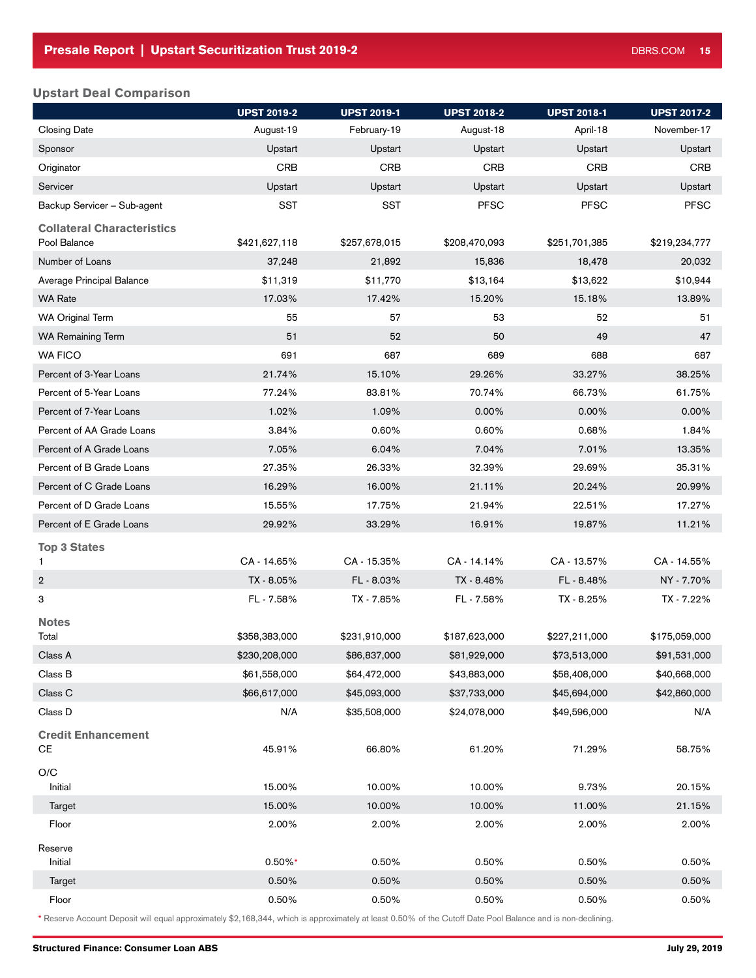### Upstart Deal Comparison

|                                        | <b>UPST 2019-2</b> | <b>UPST 2019-1</b> | <b>UPST 2018-2</b> | <b>UPST 2018-1</b> | <b>UPST 2017-2</b> |
|----------------------------------------|--------------------|--------------------|--------------------|--------------------|--------------------|
| <b>Closing Date</b>                    | August-19          | February-19        | August-18          | April-18           | November-17        |
| Sponsor                                | Upstart            | Upstart            | Upstart            | Upstart            | Upstart            |
| Originator                             | <b>CRB</b>         | <b>CRB</b>         | <b>CRB</b>         | <b>CRB</b>         | <b>CRB</b>         |
| Servicer                               | Upstart            | Upstart            | Upstart            | Upstart            | Upstart            |
| Backup Servicer - Sub-agent            | <b>SST</b>         | <b>SST</b>         | <b>PFSC</b>        | <b>PFSC</b>        | <b>PFSC</b>        |
| <b>Collateral Characteristics</b>      |                    |                    |                    |                    |                    |
| Pool Balance                           | \$421,627,118      | \$257,678,015      | \$208,470,093      | \$251,701,385      | \$219,234,777      |
| Number of Loans                        | 37,248             | 21,892             | 15,836             | 18,478             | 20,032             |
| Average Principal Balance              | \$11,319           | \$11,770           | \$13,164           | \$13,622           | \$10,944           |
| <b>WA Rate</b>                         | 17.03%             | 17.42%             | 15.20%             | 15.18%             | 13.89%             |
| <b>WA Original Term</b>                | 55                 | 57                 | 53                 | 52                 | 51                 |
| <b>WA Remaining Term</b>               | 51                 | 52                 | 50                 | 49                 | 47                 |
| <b>WA FICO</b>                         | 691                | 687                | 689                | 688                | 687                |
| Percent of 3-Year Loans                | 21.74%             | 15.10%             | 29.26%             | 33.27%             | 38.25%             |
| Percent of 5-Year Loans                | 77.24%             | 83.81%             | 70.74%             | 66.73%             | 61.75%             |
| Percent of 7-Year Loans                | 1.02%              | 1.09%              | 0.00%              | 0.00%              | $0.00\%$           |
| Percent of AA Grade Loans              | 3.84%              | 0.60%              | 0.60%              | 0.68%              | 1.84%              |
| Percent of A Grade Loans               | 7.05%              | 6.04%              | 7.04%              | 7.01%              | 13.35%             |
| Percent of B Grade Loans               | 27.35%             | 26.33%             | 32.39%             | 29.69%             | 35.31%             |
| Percent of C Grade Loans               | 16.29%             | 16.00%             | 21.11%             | 20.24%             | 20.99%             |
| Percent of D Grade Loans               | 15.55%             | 17.75%             | 21.94%             | 22.51%             | 17.27%             |
| Percent of E Grade Loans               | 29.92%             | 33.29%             | 16.91%             | 19.87%             | 11.21%             |
| <b>Top 3 States</b>                    |                    |                    |                    |                    |                    |
| 1                                      | CA - 14.65%        | CA - 15.35%        | CA-14.14%          | CA - 13.57%        | CA - 14.55%        |
| $\overline{2}$                         | TX - 8.05%         | FL-8.03%           | TX - 8.48%         | FL-8.48%           | NY - 7.70%         |
| 3                                      | FL-7.58%           | TX - 7.85%         | FL-7.58%           | TX - 8.25%         | TX - 7.22%         |
| <b>Notes</b>                           |                    |                    | \$187,623,000      |                    |                    |
| Total<br>Class A                       | \$358,383,000      | \$231,910,000      |                    | \$227,211,000      | \$175,059,000      |
|                                        | \$230,208,000      | \$86,837,000       | \$81,929,000       | \$73,513,000       | \$91,531,000       |
| Class B                                | \$61,558,000       | \$64,472,000       | \$43,883,000       | \$58,408,000       | \$40,668,000       |
| Class C                                | \$66,617,000       | \$45,093,000       | \$37,733,000       | \$45,694,000       | \$42,860,000       |
| Class D                                | N/A                | \$35,508,000       | \$24,078,000       | \$49,596,000       | N/A                |
| <b>Credit Enhancement</b><br><b>CE</b> | 45.91%             | 66.80%             | 61.20%             | 71.29%             | 58.75%             |
| $\rm O/C$<br>Initial                   | 15.00%             | 10.00%             | 10.00%             | 9.73%              | 20.15%             |
| Target                                 | 15.00%             | 10.00%             | 10.00%             | 11.00%             | 21.15%             |
| Floor                                  | 2.00%              | 2.00%              | 2.00%              | 2.00%              | 2.00%              |
| Reserve                                |                    |                    |                    |                    |                    |
| Initial                                | $0.50\%*$          | 0.50%              | 0.50%              | 0.50%              | 0.50%              |
| Target                                 | 0.50%              | 0.50%              | 0.50%              | 0.50%              | 0.50%              |
| Floor                                  | 0.50%              | 0.50%              | 0.50%              | 0.50%              | 0.50%              |

\* Reserve Account Deposit will equal approximately \$2,168,344, which is approximately at least 0.50% of the Cutoff Date Pool Balance and is non-declining.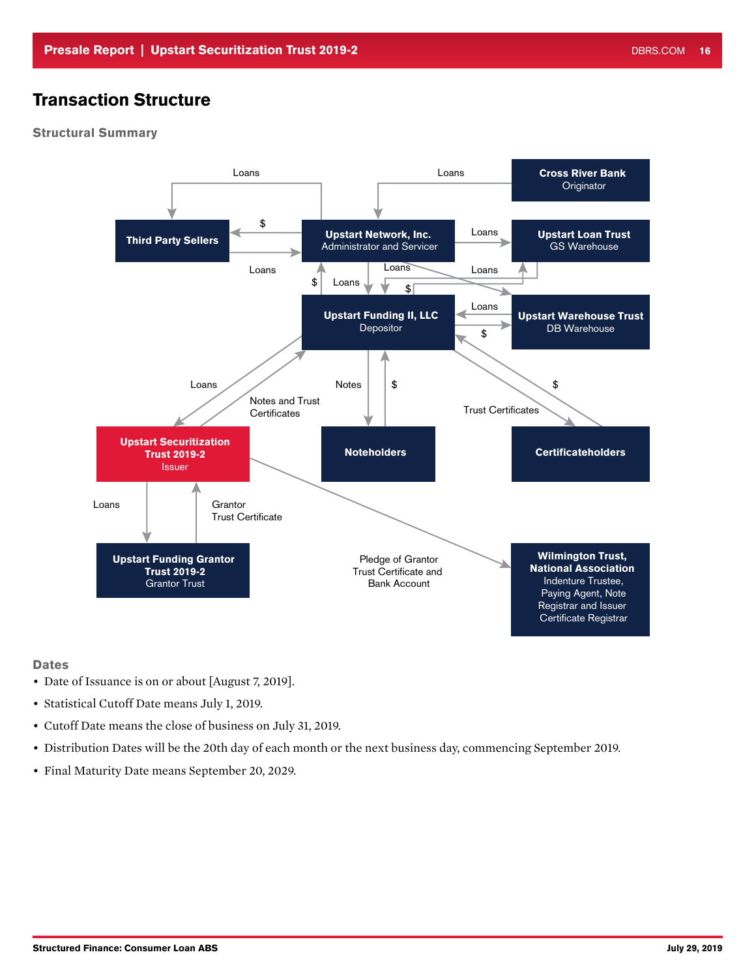# Transaction Structure

### Structural Summary



#### **Dates**

- Date of Issuance is on or about [August 7, 2019].
- Statistical Cutoff Date means July 1, 2019.
- Cutoff Date means the close of business on July 31, 2019.
- Distribution Dates will be the 20th day of each month or the next business day, commencing September 2019.
- Final Maturity Date means September 20, 2029.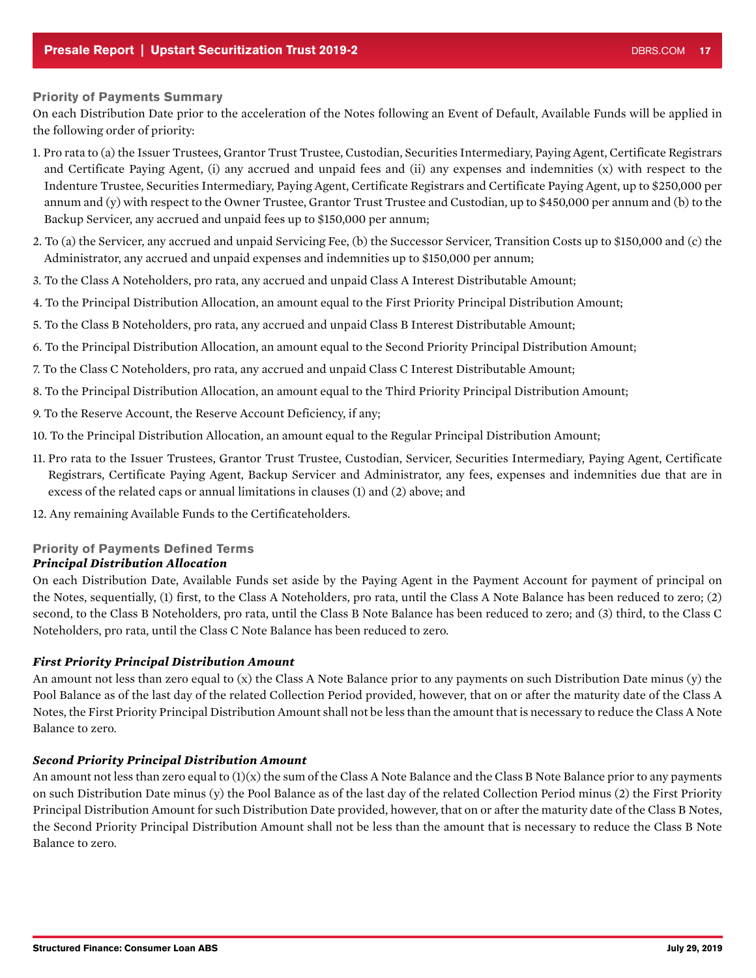#### Priority of Payments Summary

On each Distribution Date prior to the acceleration of the Notes following an Event of Default, Available Funds will be applied in the following order of priority:

- 1. Pro rata to (a) the Issuer Trustees, Grantor Trust Trustee, Custodian, Securities Intermediary, Paying Agent, Certificate Registrars and Certificate Paying Agent, (i) any accrued and unpaid fees and (ii) any expenses and indemnities (x) with respect to the Indenture Trustee, Securities Intermediary, Paying Agent, Certificate Registrars and Certificate Paying Agent, up to \$250,000 per annum and (y) with respect to the Owner Trustee, Grantor Trust Trustee and Custodian, up to \$450,000 per annum and (b) to the Backup Servicer, any accrued and unpaid fees up to \$150,000 per annum;
- 2. To (a) the Servicer, any accrued and unpaid Servicing Fee, (b) the Successor Servicer, Transition Costs up to \$150,000 and (c) the Administrator, any accrued and unpaid expenses and indemnities up to \$150,000 per annum;
- 3. To the Class A Noteholders, pro rata, any accrued and unpaid Class A Interest Distributable Amount;
- 4. To the Principal Distribution Allocation, an amount equal to the First Priority Principal Distribution Amount;
- 5. To the Class B Noteholders, pro rata, any accrued and unpaid Class B Interest Distributable Amount;
- 6. To the Principal Distribution Allocation, an amount equal to the Second Priority Principal Distribution Amount;
- 7. To the Class C Noteholders, pro rata, any accrued and unpaid Class C Interest Distributable Amount;
- 8. To the Principal Distribution Allocation, an amount equal to the Third Priority Principal Distribution Amount;
- 9. To the Reserve Account, the Reserve Account Deficiency, if any;
- 10. To the Principal Distribution Allocation, an amount equal to the Regular Principal Distribution Amount;
- 11. Pro rata to the Issuer Trustees, Grantor Trust Trustee, Custodian, Servicer, Securities Intermediary, Paying Agent, Certificate Registrars, Certificate Paying Agent, Backup Servicer and Administrator, any fees, expenses and indemnities due that are in excess of the related caps or annual limitations in clauses (1) and (2) above; and
- 12. Any remaining Available Funds to the Certificateholders.

### Priority of Payments Defined Terms

### *Principal Distribution Allocation*

On each Distribution Date, Available Funds set aside by the Paying Agent in the Payment Account for payment of principal on the Notes, sequentially, (1) first, to the Class A Noteholders, pro rata, until the Class A Note Balance has been reduced to zero; (2) second, to the Class B Noteholders, pro rata, until the Class B Note Balance has been reduced to zero; and (3) third, to the Class C Noteholders, pro rata, until the Class C Note Balance has been reduced to zero.

### *First Priority Principal Distribution Amount*

An amount not less than zero equal to (x) the Class A Note Balance prior to any payments on such Distribution Date minus (y) the Pool Balance as of the last day of the related Collection Period provided, however, that on or after the maturity date of the Class A Notes, the First Priority Principal Distribution Amount shall not be less than the amount that is necessary to reduce the Class A Note Balance to zero.

#### *Second Priority Principal Distribution Amount*

An amount not less than zero equal to  $(1)(x)$  the sum of the Class A Note Balance and the Class B Note Balance prior to any payments on such Distribution Date minus (y) the Pool Balance as of the last day of the related Collection Period minus (2) the First Priority Principal Distribution Amount for such Distribution Date provided, however, that on or after the maturity date of the Class B Notes, the Second Priority Principal Distribution Amount shall not be less than the amount that is necessary to reduce the Class B Note Balance to zero.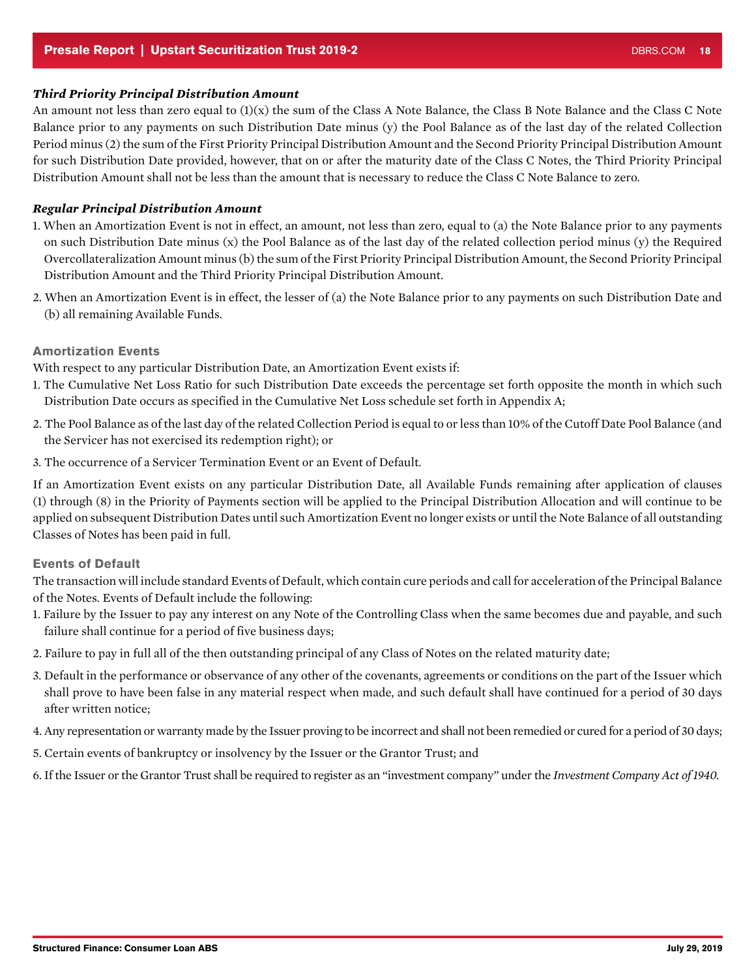### <span id="page-17-0"></span>*Third Priority Principal Distribution Amount*

An amount not less than zero equal to  $(1)(x)$  the sum of the Class A Note Balance, the Class B Note Balance and the Class C Note Balance prior to any payments on such Distribution Date minus (y) the Pool Balance as of the last day of the related Collection Period minus (2) the sum of the First Priority Principal Distribution Amount and the Second Priority Principal Distribution Amount for such Distribution Date provided, however, that on or after the maturity date of the Class C Notes, the Third Priority Principal Distribution Amount shall not be less than the amount that is necessary to reduce the Class C Note Balance to zero.

### *Regular Principal Distribution Amount*

- 1. When an Amortization Event is not in effect, an amount, not less than zero, equal to (a) the Note Balance prior to any payments on such Distribution Date minus (x) the Pool Balance as of the last day of the related collection period minus (y) the Required Overcollateralization Amount minus (b) the sum of the First Priority Principal Distribution Amount, the Second Priority Principal Distribution Amount and the Third Priority Principal Distribution Amount.
- 2. When an Amortization Event is in effect, the lesser of (a) the Note Balance prior to any payments on such Distribution Date and (b) all remaining Available Funds.

### Amortization Events

With respect to any particular Distribution Date, an Amortization Event exists if:

- 1. The Cumulative Net Loss Ratio for such Distribution Date exceeds the percentage set forth opposite the month in which such Distribution Date occurs as specified in the Cumulative Net Loss schedule set forth in Appendix A;
- 2. The Pool Balance as of the last day of the related Collection Period is equal to or less than 10% of the Cutoff Date Pool Balance (and the Servicer has not exercised its redemption right); or
- 3. The occurrence of a Servicer Termination Event or an Event of Default.

If an Amortization Event exists on any particular Distribution Date, all Available Funds remaining after application of clauses (1) through (8) in the Priority of Payments section will be applied to the Principal Distribution Allocation and will continue to be applied on subsequent Distribution Dates until such Amortization Event no longer exists or until the Note Balance of all outstanding Classes of Notes has been paid in full.

### Events of Default

The transaction will include standard Events of Default, which contain cure periods and call for acceleration of the Principal Balance of the Notes. Events of Default include the following:

- 1. Failure by the Issuer to pay any interest on any Note of the Controlling Class when the same becomes due and payable, and such failure shall continue for a period of five business days;
- 2. Failure to pay in full all of the then outstanding principal of any Class of Notes on the related maturity date;
- 3. Default in the performance or observance of any other of the covenants, agreements or conditions on the part of the Issuer which shall prove to have been false in any material respect when made, and such default shall have continued for a period of 30 days after written notice;
- 4. Any representation or warranty made by the Issuer proving to be incorrect and shall not been remedied or cured for a period of 30 days;
- 5. Certain events of bankruptcy or insolvency by the Issuer or the Grantor Trust; and
- 6. If the Issuer or the Grantor Trust shall be required to register as an "investment company" under the *Investment Company Act of 1940.*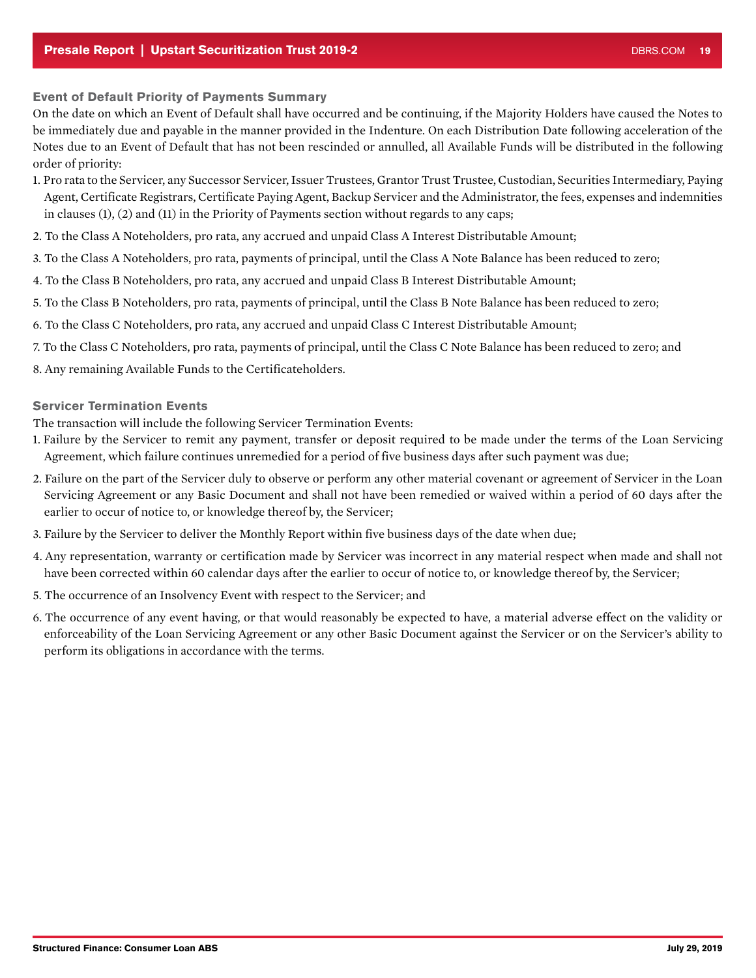### <span id="page-18-0"></span>Event of Default Priority of Payments Summary

On the date on which an Event of Default shall have occurred and be continuing, if the Majority Holders have caused the Notes to be immediately due and payable in the manner provided in the Indenture. On each Distribution Date following acceleration of the Notes due to an Event of Default that has not been rescinded or annulled, all Available Funds will be distributed in the following order of priority:

- 1. Pro rata to the Servicer, any Successor Servicer, Issuer Trustees, Grantor Trust Trustee, Custodian, Securities Intermediary, Paying Agent, Certificate Registrars, Certificate Paying Agent, Backup Servicer and the Administrator, the fees, expenses and indemnities in clauses (1), (2) and (11) in the Priority of Payments section without regards to any caps;
- 2. To the Class A Noteholders, pro rata, any accrued and unpaid Class A Interest Distributable Amount;
- 3. To the Class A Noteholders, pro rata, payments of principal, until the Class A Note Balance has been reduced to zero;
- 4. To the Class B Noteholders, pro rata, any accrued and unpaid Class B Interest Distributable Amount;
- 5. To the Class B Noteholders, pro rata, payments of principal, until the Class B Note Balance has been reduced to zero;
- 6. To the Class C Noteholders, pro rata, any accrued and unpaid Class C Interest Distributable Amount;
- 7. To the Class C Noteholders, pro rata, payments of principal, until the Class C Note Balance has been reduced to zero; and
- 8. Any remaining Available Funds to the Certificateholders.

#### Servicer Termination Events

The transaction will include the following Servicer Termination Events:

- 1. Failure by the Servicer to remit any payment, transfer or deposit required to be made under the terms of the Loan Servicing Agreement, which failure continues unremedied for a period of five business days after such payment was due;
- 2. Failure on the part of the Servicer duly to observe or perform any other material covenant or agreement of Servicer in the Loan Servicing Agreement or any Basic Document and shall not have been remedied or waived within a period of 60 days after the earlier to occur of notice to, or knowledge thereof by, the Servicer;
- 3. Failure by the Servicer to deliver the Monthly Report within five business days of the date when due;
- 4. Any representation, warranty or certification made by Servicer was incorrect in any material respect when made and shall not have been corrected within 60 calendar days after the earlier to occur of notice to, or knowledge thereof by, the Servicer;
- 5. The occurrence of an Insolvency Event with respect to the Servicer; and
- 6. The occurrence of any event having, or that would reasonably be expected to have, a material adverse effect on the validity or enforceability of the Loan Servicing Agreement or any other Basic Document against the Servicer or on the Servicer's ability to perform its obligations in accordance with the terms.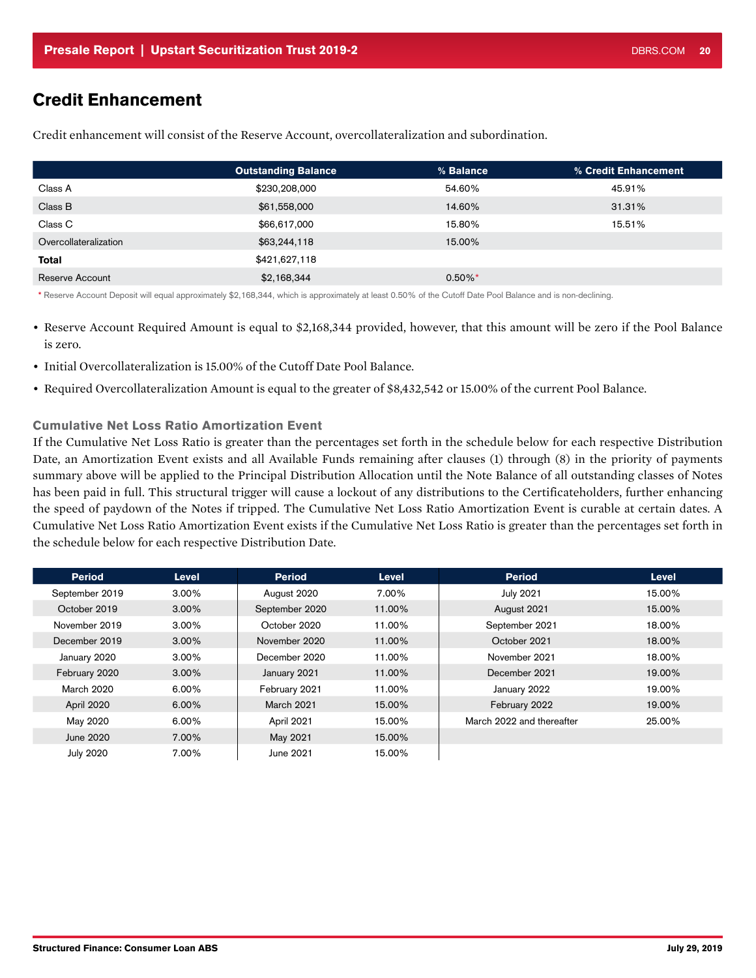### <span id="page-19-0"></span>Credit Enhancement

|                       | <b>Outstanding Balance</b> | % Balance  | % Credit Enhancement |
|-----------------------|----------------------------|------------|----------------------|
| Class A               | \$230,208,000              | 54.60%     | 45.91%               |
| Class B               | \$61,558,000               | 14.60%     | 31.31%               |
| Class C               | \$66,617,000               | 15.80%     | 15.51%               |
| Overcollateralization | \$63,244,118               | 15.00%     |                      |
| <b>Total</b>          | \$421,627,118              |            |                      |
| Reserve Account       | \$2,168,344                | $0.50\%$ * |                      |

Credit enhancement will consist of the Reserve Account, overcollateralization and subordination.

\* Reserve Account Deposit will equal approximately \$2,168,344, which is approximately at least 0.50% of the Cutoff Date Pool Balance and is non-declining.

• Reserve Account Required Amount is equal to \$2,168,344 provided, however, that this amount will be zero if the Pool Balance is zero.

- Initial Overcollateralization is 15.00% of the Cutoff Date Pool Balance.
- Required Overcollateralization Amount is equal to the greater of \$8,432,542 or 15.00% of the current Pool Balance.

### Cumulative Net Loss Ratio Amortization Event

If the Cumulative Net Loss Ratio is greater than the percentages set forth in the schedule below for each respective Distribution Date, an Amortization Event exists and all Available Funds remaining after clauses (1) through (8) in the priority of payments summary above will be applied to the Principal Distribution Allocation until the Note Balance of all outstanding classes of Notes has been paid in full. This structural trigger will cause a lockout of any distributions to the Certificateholders, further enhancing the speed of paydown of the Notes if tripped. The Cumulative Net Loss Ratio Amortization Event is curable at certain dates. A Cumulative Net Loss Ratio Amortization Event exists if the Cumulative Net Loss Ratio is greater than the percentages set forth in the schedule below for each respective Distribution Date.

| <b>Period</b>     | <b>Level</b> | <b>Period</b>     | <b>Level</b> | <b>Period</b>             | Level  |
|-------------------|--------------|-------------------|--------------|---------------------------|--------|
| September 2019    | $3.00\%$     | August 2020       | 7.00%        | <b>July 2021</b>          | 15.00% |
| October 2019      | $3.00\%$     | September 2020    | 11.00%       | August 2021               | 15.00% |
| November 2019     | $3.00\%$     | October 2020      | 11.00%       | September 2021            | 18.00% |
| December 2019     | $3.00\%$     | November 2020     | 11.00%       | October 2021              | 18.00% |
| January 2020      | $3.00\%$     | December 2020     | 11.00%       | November 2021             | 18.00% |
| February 2020     | $3.00\%$     | January 2021      | 11.00%       | December 2021             | 19.00% |
| <b>March 2020</b> | 6.00%        | February 2021     | 11.00%       | January 2022              | 19.00% |
| April 2020        | $6.00\%$     | <b>March 2021</b> | 15.00%       | February 2022             | 19.00% |
| May 2020          | 6.00%        | April 2021        | 15.00%       | March 2022 and thereafter | 25.00% |
| June 2020         | 7.00%        | May 2021          | 15.00%       |                           |        |
| <b>July 2020</b>  | 7.00%        | June 2021         | 15.00%       |                           |        |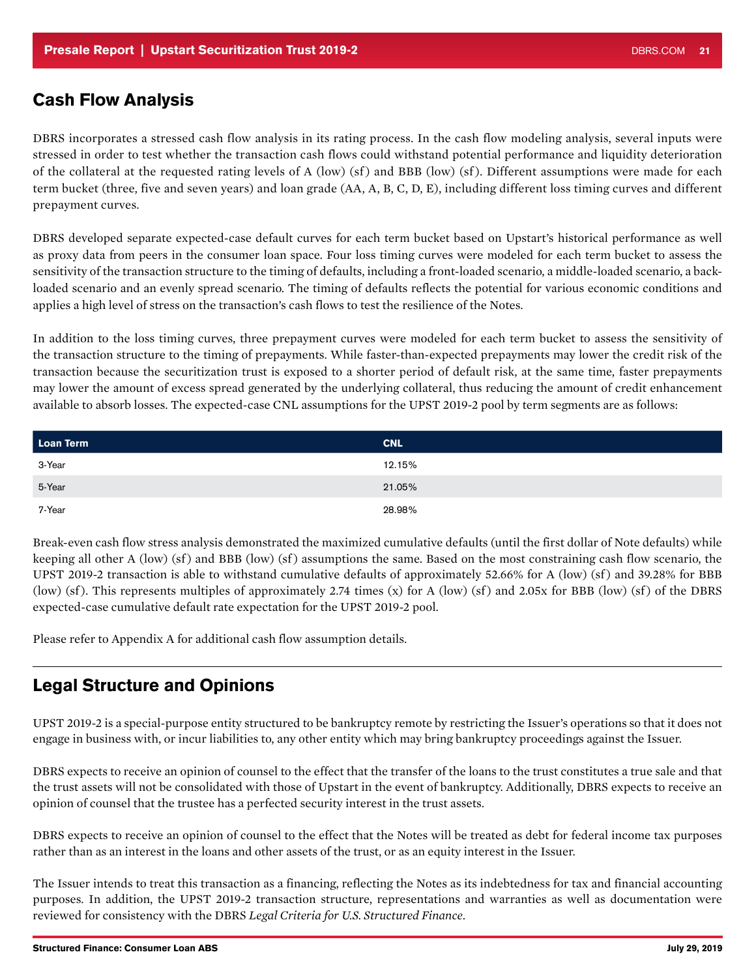### Cash Flow Analysis

DBRS incorporates a stressed cash flow analysis in its rating process. In the cash flow modeling analysis, several inputs were stressed in order to test whether the transaction cash flows could withstand potential performance and liquidity deterioration of the collateral at the requested rating levels of A (low) (sf ) and BBB (low) (sf ). Different assumptions were made for each term bucket (three, five and seven years) and loan grade (AA, A, B, C, D, E), including different loss timing curves and different prepayment curves.

DBRS developed separate expected-case default curves for each term bucket based on Upstart's historical performance as well as proxy data from peers in the consumer loan space. Four loss timing curves were modeled for each term bucket to assess the sensitivity of the transaction structure to the timing of defaults, including a front-loaded scenario, a middle-loaded scenario, a backloaded scenario and an evenly spread scenario. The timing of defaults reflects the potential for various economic conditions and applies a high level of stress on the transaction's cash flows to test the resilience of the Notes.

In addition to the loss timing curves, three prepayment curves were modeled for each term bucket to assess the sensitivity of the transaction structure to the timing of prepayments. While faster-than-expected prepayments may lower the credit risk of the transaction because the securitization trust is exposed to a shorter period of default risk, at the same time, faster prepayments may lower the amount of excess spread generated by the underlying collateral, thus reducing the amount of credit enhancement available to absorb losses. The expected-case CNL assumptions for the UPST 2019-2 pool by term segments are as follows:

| Loan Term | <b>CNL</b> |
|-----------|------------|
| 3-Year    | 12.15%     |
| 5-Year    | 21.05%     |
| 7-Year    | 28.98%     |

Break-even cash flow stress analysis demonstrated the maximized cumulative defaults (until the first dollar of Note defaults) while keeping all other A (low) (sf) and BBB (low) (sf) assumptions the same. Based on the most constraining cash flow scenario, the UPST 2019-2 transaction is able to withstand cumulative defaults of approximately  $52.66\%$  for A (low) (sf) and 39.28% for BBB (low) (sf). This represents multiples of approximately 2.74 times (x) for A (low) (sf) and 2.05x for BBB (low) (sf) of the DBRS expected-case cumulative default rate expectation for the UPST 2019-2 pool.

Please refer to Appendix A for additional cash flow assumption details.

### Legal Structure and Opinions

UPST 2019-2 is a special-purpose entity structured to be bankruptcy remote by restricting the Issuer's operations so that it does not engage in business with, or incur liabilities to, any other entity which may bring bankruptcy proceedings against the Issuer.

DBRS expects to receive an opinion of counsel to the effect that the transfer of the loans to the trust constitutes a true sale and that the trust assets will not be consolidated with those of Upstart in the event of bankruptcy. Additionally, DBRS expects to receive an opinion of counsel that the trustee has a perfected security interest in the trust assets.

DBRS expects to receive an opinion of counsel to the effect that the Notes will be treated as debt for federal income tax purposes rather than as an interest in the loans and other assets of the trust, or as an equity interest in the Issuer.

The Issuer intends to treat this transaction as a financing, reflecting the Notes as its indebtedness for tax and financial accounting purposes. In addition, the UPST 2019-2 transaction structure, representations and warranties as well as documentation were reviewed for consistency with the DBRS *Legal Criteria for U.S. Structured Finance*.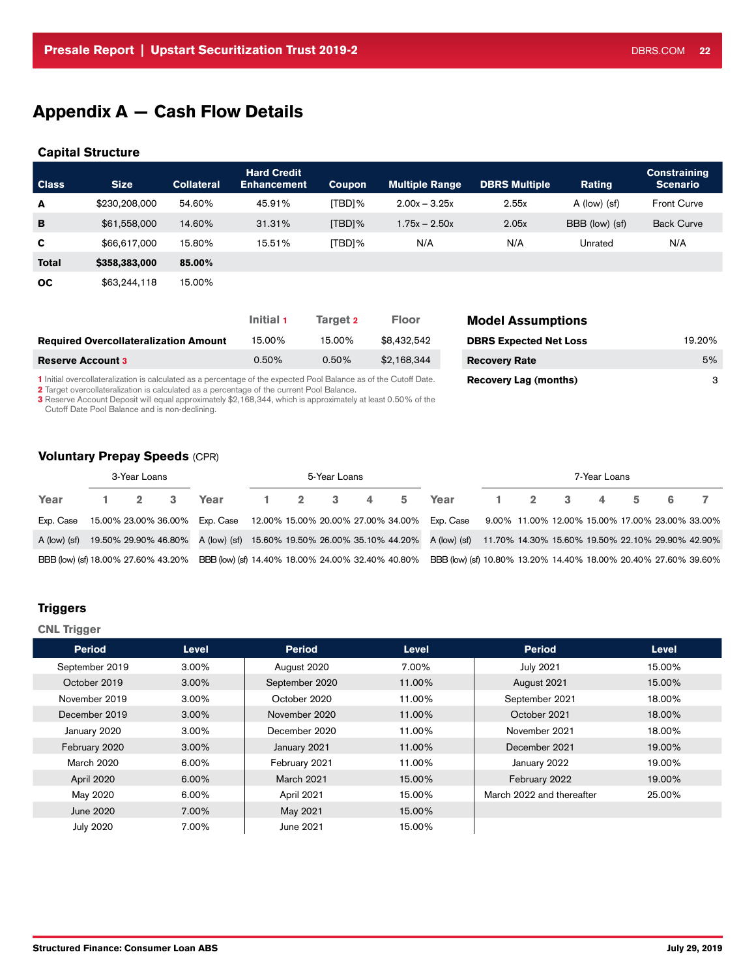# Appendix A — Cash Flow Details

#### Capital Structure

| <b>Class</b> | Size.         | <b>Collateral</b> | <b>Hard Credit</b><br><b>Enhancement</b> | Coupon    | <b>Multiple Range</b> | <b>DBRS Multiple</b> | Rating         | <b>Constraining</b><br><b>Scenario</b> |
|--------------|---------------|-------------------|------------------------------------------|-----------|-----------------------|----------------------|----------------|----------------------------------------|
| A            | \$230,208,000 | 54.60%            | 45.91%                                   | [TBD]%    | $2.00x - 3.25x$       | 2.55x                | A (low) (sf)   | <b>Front Curve</b>                     |
| в            | \$61,558,000  | 14.60%            | 31.31%                                   | $[TBD]\%$ | $1.75x - 2.50x$       | 2.05x                | BBB (low) (sf) | <b>Back Curve</b>                      |
| C            | \$66,617,000  | 15.80%            | 15.51%                                   | [TBD]%    | N/A                   | N/A                  | Unrated        | N/A                                    |
| <b>Total</b> | \$358,383,000 | 85.00%            |                                          |           |                       |                      |                |                                        |
| <b>OC</b>    | \$63,244,118  | 15.00%            |                                          |           |                       |                      |                |                                        |

|                                              | Initial 1 | Target 2 | <b>Floor</b> | <b>Model Assumptions</b>      |        |
|----------------------------------------------|-----------|----------|--------------|-------------------------------|--------|
| <b>Required Overcollateralization Amount</b> | 15.00%    | 15.00%   | \$8,432,542  | <b>DBRS Expected Net Loss</b> | 19.20% |
| <b>Reserve Account 3</b>                     | $0.50\%$  | 0.50%    | \$2.168.344  | <b>Recovery Rate</b>          | 5%     |

1 Initial overcollateralization is calculated as a percentage of the expected Pool Balance as of the Cutoff Date.

2 Target overcollateralization is calculated as a percentage of the current Pool Balance.

3 Reserve Account Deposit will equal approximately \$2,168,344, which is approximately at least 0.50% of the Cutoff Date Pool Balance and is non-declining.

### Voluntary Prepay Speeds (CPR)

|                                     | 3-Year Loans<br>5-Year Loans |  |  |                                                   | 7-Year Loans |  |  |                                                                                                                                    |  |  |  |  |  |  |
|-------------------------------------|------------------------------|--|--|---------------------------------------------------|--------------|--|--|------------------------------------------------------------------------------------------------------------------------------------|--|--|--|--|--|--|
| Year                                |                              |  |  |                                                   |              |  |  | 1 2 3 Year 1 2 3 4 5 Year 1 2 3 4 5 6 7                                                                                            |  |  |  |  |  |  |
| Exp. Case                           |                              |  |  |                                                   |              |  |  | 15.00% 23.00% 36.00% Exp. Case 12.00% 15.00% 20.00% 27.00% 34.00% Exp. Case 9.00% 11.00% 12.00% 15.00% 17.00% 23.00% 33.00%        |  |  |  |  |  |  |
| A (low) (sf)                        |                              |  |  |                                                   |              |  |  | 19.50% 29.90% 46.80% A (low) (sf) 15.60% 19.50% 26.00% 35.10% 44.20% A (low) (sf) 11.70% 14.30% 15.60% 19.50% 22.10% 29.90% 42.90% |  |  |  |  |  |  |
| BBB (low) (sf) 18.00% 27.60% 43.20% |                              |  |  | BBB (low) (sf) 14.40% 18.00% 24.00% 32.40% 40.80% |              |  |  | BBB (low) (sf) 10.80% 13.20% 14.40% 18.00% 20.40% 27.60% 39.60%                                                                    |  |  |  |  |  |  |

### **Triggers**

#### CNL Trigger

| <b>Period</b>  | Level    | <b>Period</b>     | <b>Level</b> | <b>Period</b>             | <b>Level</b> |
|----------------|----------|-------------------|--------------|---------------------------|--------------|
| September 2019 | $3.00\%$ | August 2020       | 7.00%        | <b>July 2021</b>          | 15.00%       |
| October 2019   | $3.00\%$ | September 2020    | 11.00%       | August 2021               | 15.00%       |
| November 2019  | $3.00\%$ | October 2020      | 11.00%       | September 2021            | 18.00%       |
| December 2019  | $3.00\%$ | November 2020     | 11.00%       | October 2021              | 18.00%       |
| January 2020   | $3.00\%$ | December 2020     | 11.00%       | November 2021             | 18.00%       |
| February 2020  | $3.00\%$ | January 2021      | 11.00%       | December 2021             | 19.00%       |
| March 2020     | 6.00%    | February 2021     | 11.00%       | January 2022              | 19.00%       |
| April 2020     | $6.00\%$ | <b>March 2021</b> | 15.00%       | February 2022             | 19.00%       |
| May 2020       | 6.00%    | April 2021        | 15.00%       | March 2022 and thereafter | 25.00%       |
| June 2020      | 7.00%    | May 2021          | 15.00%       |                           |              |
| July 2020      | 7.00%    | June 2021         | 15.00%       |                           |              |

Recovery Lag (months) 3